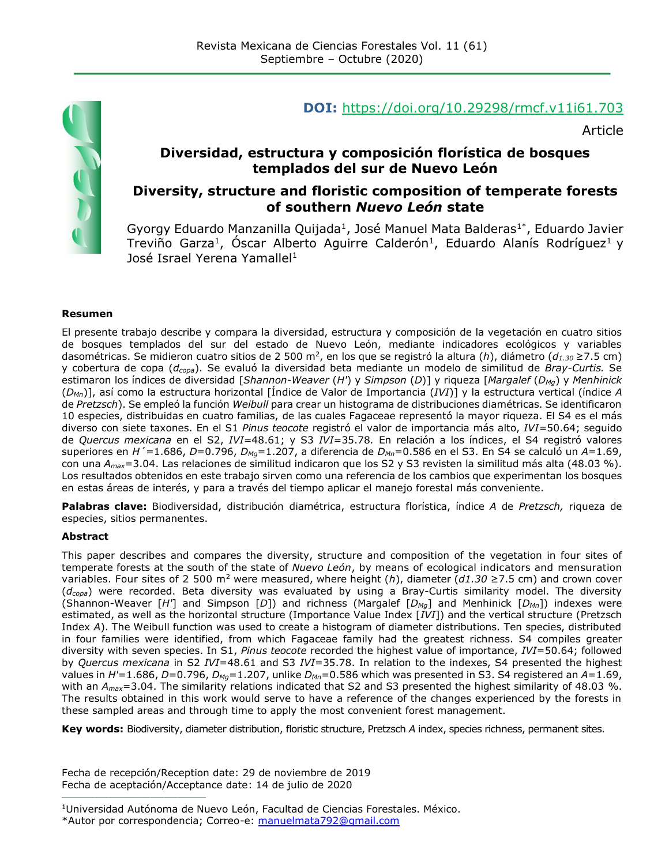

#### **DOI:** <https://doi.org/10.29298/rmcf.v11i61.703>

Article

#### **Diversidad, estructura y composición florística de bosques templados del sur de Nuevo León**

#### **Diversity, structure and floristic composition of temperate forests of southern** *Nuevo León* **state**

Gyorgy Eduardo Manzanilla Quijada<sup>1</sup>, José Manuel Mata Balderas<sup>1\*</sup>, Eduardo Javier Treviño Garza<sup>1</sup>, Óscar Alberto Aguirre Calderón<sup>1</sup>, Eduardo Alanís Rodríguez<sup>1</sup> y José Israel Yerena Yamallel<sup>1</sup>

#### **Resumen**

El presente trabajo describe y compara la diversidad, estructura y composición de la vegetación en cuatro sitios de bosques templados del sur del estado de Nuevo León, mediante indicadores ecológicos y variables dasométricas. Se midieron cuatro sitios de 2 500 m<sup>2</sup> , en los que se registró la altura (*h*), diámetro (*d1.30* ≥7.5 cm) y cobertura de copa (*dcopa*). Se evaluó la diversidad beta mediante un modelo de similitud de *Bray-Curtis.* Se estimaron los índices de diversidad [*Shannon*-*Weaver* (*H'*) y *Simpson* (*D*)] y riqueza [*Margalef* (*DMg*) y *Menhinick* (*DMn*)], así como la estructura horizontal [Índice de Valor de Importancia (*IVI*)] y la estructura vertical (índice *A* de *Pretzsch*). Se empleó la función *Weibull* para crear un histograma de distribuciones diamétricas. Se identificaron 10 especies, distribuidas en cuatro familias, de las cuales Fagaceae representó la mayor riqueza. El S4 es el más diverso con siete taxones. En el S1 *Pinus teocote* registró el valor de importancia más alto, *IVI=*50.64; seguido de *Quercus mexicana* en el S2, *IVI*=48.61; y S3 *IVI*=35.78*.* En relación a los índices, el S4 registró valores superiores en *H´*=1.686, *D*=0.796, *DMg*=1.207, a diferencia de *DMn*=0.586 en el S3. En S4 se calculó un *A*=1.69, con una *Amax*=3.04. Las relaciones de similitud indicaron que los S2 y S3 revisten la similitud más alta (48.03 %). Los resultados obtenidos en este trabajo sirven como una referencia de los cambios que experimentan los bosques en estas áreas de interés, y para a través del tiempo aplicar el manejo forestal más conveniente.

**Palabras clave:** Biodiversidad, distribución diamétrica, estructura florística, índice *A* de *Pretzsch,* riqueza de especies, sitios permanentes.

#### **Abstract**

This paper describes and compares the diversity, structure and composition of the vegetation in four sites of temperate forests at the south of the state of *Nuevo León*, by means of ecological indicators and mensuration variables. Four sites of 2 500 m<sup>2</sup> were measured, where height (*h*), diameter (*d1.30* ≥7.5 cm) and crown cover (*dcopa*) were recorded. Beta diversity was evaluated by using a Bray-Curtis similarity model. The diversity (Shannon-Weaver [*H'*] and Simpson [*D*]) and richness (Margalef [*DMg*] and Menhinick [*DMn*]) indexes were estimated, as well as the horizontal structure (Importance Value Index [*IVI*]) and the vertical structure (Pretzsch Index *A*). The Weibull function was used to create a histogram of diameter distributions. Ten species, distributed in four families were identified, from which Fagaceae family had the greatest richness. S4 compiles greater diversity with seven species. In S1, *Pinus teocote* recorded the highest value of importance, *IVI*=50.64; followed by *Quercus mexicana* in S2 *IVI*=48.61 and S3 *IVI*=35.78. In relation to the indexes, S4 presented the highest values in *H'*=1.686, *D*=0.796, *DMg*=1.207, unlike *DMn*=0.586 which was presented in S3. S4 registered an *A*=1.69, with an *Amax*=3.04. The similarity relations indicated that S2 and S3 presented the highest similarity of 48.03 %. The results obtained in this work would serve to have a reference of the changes experienced by the forests in these sampled areas and through time to apply the most convenient forest management.

**Key words:** Biodiversity, diameter distribution, floristic structure, Pretzsch *A* index, species richness, permanent sites.

Fecha de recepción/Reception date: 29 de noviembre de 2019 Fecha de aceptación/Acceptance date: 14 de julio de 2020

**\_\_\_\_\_\_\_\_\_\_\_\_\_\_\_\_\_\_\_\_\_\_\_\_\_\_\_\_\_\_\_**

<sup>1</sup>Universidad Autónoma de Nuevo León, Facultad de Ciencias Forestales. México.

<sup>\*</sup>Autor por correspondencia; Correo-e: [manuelmata792@gmail.com](mailto:manuelmata792@gmail.com)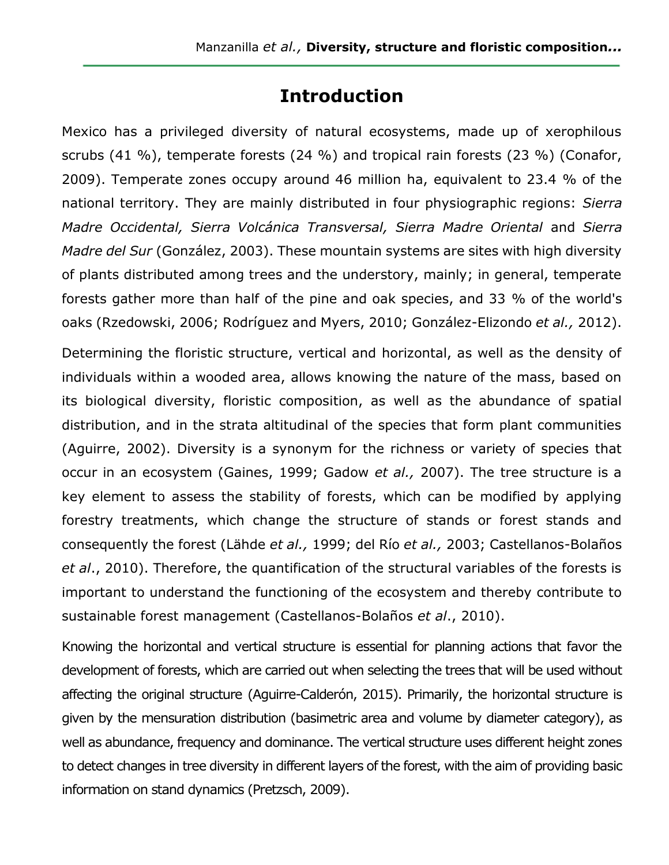## **Introduction**

Mexico has a privileged diversity of natural ecosystems, made up of xerophilous scrubs (41 %), temperate forests (24 %) and tropical rain forests (23 %) (Conafor, 2009). Temperate zones occupy around 46 million ha, equivalent to 23.4 % of the national territory. They are mainly distributed in four physiographic regions: *Sierra Madre Occidental, Sierra Volcánica Transversal, Sierra Madre Oriental* and *Sierra Madre del Sur* (González, 2003). These mountain systems are sites with high diversity of plants distributed among trees and the understory, mainly; in general, temperate forests gather more than half of the pine and oak species, and 33 % of the world's oaks (Rzedowski, 2006; Rodríguez and Myers, 2010; González-Elizondo *et al.,* 2012).

Determining the floristic structure, vertical and horizontal, as well as the density of individuals within a wooded area, allows knowing the nature of the mass, based on its biological diversity, floristic composition, as well as the abundance of spatial distribution, and in the strata altitudinal of the species that form plant communities (Aguirre, 2002). Diversity is a synonym for the richness or variety of species that occur in an ecosystem (Gaines, 1999; Gadow *et al.,* 2007). The tree structure is a key element to assess the stability of forests, which can be modified by applying forestry treatments, which change the structure of stands or forest stands and consequently the forest (Lähde *et al.,* 1999; del Río *et al.,* 2003; Castellanos-Bolaños *et al*., 2010). Therefore, the quantification of the structural variables of the forests is important to understand the functioning of the ecosystem and thereby contribute to sustainable forest management (Castellanos-Bolaños *et al*., 2010).

Knowing the horizontal and vertical structure is essential for planning actions that favor the development of forests, which are carried out when selecting the trees that will be used without affecting the original structure (Aguirre-Calderón, 2015). Primarily, the horizontal structure is given by the mensuration distribution (basimetric area and volume by diameter category), as well as abundance, frequency and dominance. The vertical structure uses different height zones to detect changes in tree diversity in different layers of the forest, with the aim of providing basic information on stand dynamics (Pretzsch, 2009).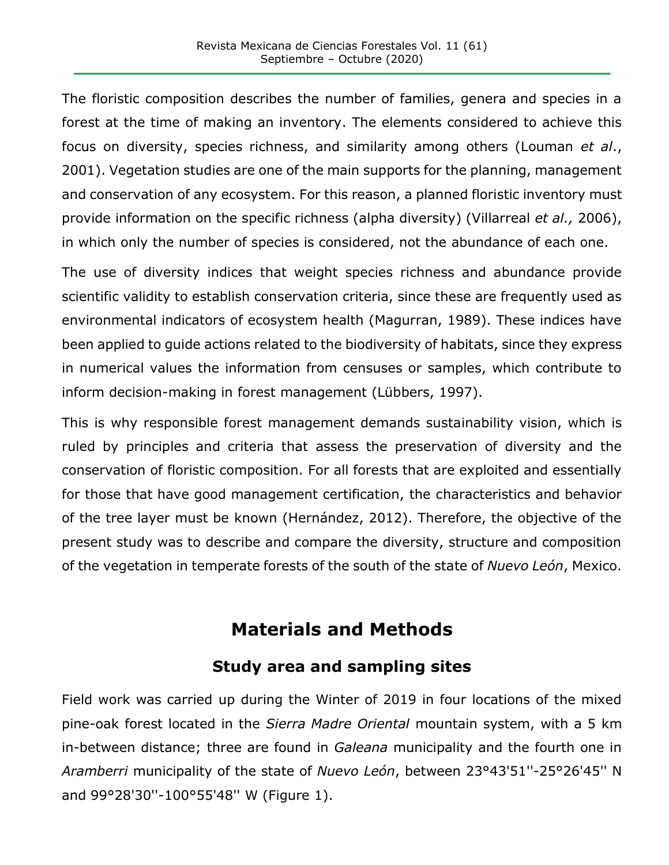The floristic composition describes the number of families, genera and species in a forest at the time of making an inventory. The elements considered to achieve this focus on diversity, species richness, and similarity among others (Louman *et al*., 2001). Vegetation studies are one of the main supports for the planning, management and conservation of any ecosystem. For this reason, a planned floristic inventory must provide information on the specific richness (alpha diversity) (Villarreal *et al.,* 2006), in which only the number of species is considered, not the abundance of each one.

The use of diversity indices that weight species richness and abundance provide scientific validity to establish conservation criteria, since these are frequently used as environmental indicators of ecosystem health (Magurran, 1989). These indices have been applied to guide actions related to the biodiversity of habitats, since they express in numerical values the information from censuses or samples, which contribute to inform decision-making in forest management (Lübbers, 1997).

This is why responsible forest management demands sustainability vision, which is ruled by principles and criteria that assess the preservation of diversity and the conservation of floristic composition. For all forests that are exploited and essentially for those that have good management certification, the characteristics and behavior of the tree layer must be known (Hernández, 2012). Therefore, the objective of the present study was to describe and compare the diversity, structure and composition of the vegetation in temperate forests of the south of the state of *Nuevo León*, Mexico.

# **Materials and Methods**

## **Study area and sampling sites**

Field work was carried up during the Winter of 2019 in four locations of the mixed pine-oak forest located in the *Sierra Madre Oriental* mountain system, with a 5 km in-between distance; three are found in *Galeana* municipality and the fourth one in *Aramberri* municipality of the state of *Nuevo León*, between 23°43'51''-25°26'45'' N and 99°28'30''-100°55'48'' W (Figure 1).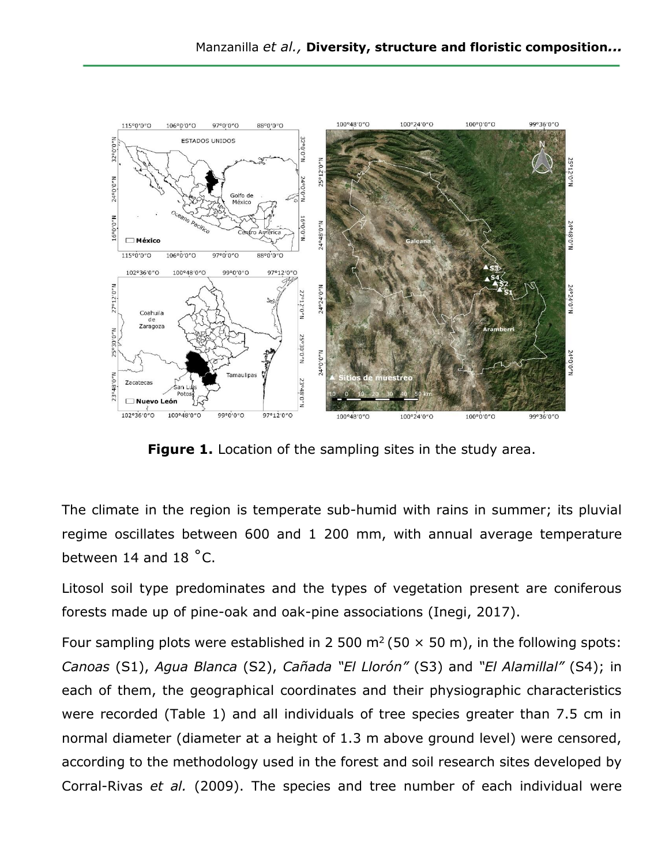

**Figure 1.** Location of the sampling sites in the study area.

The climate in the region is temperate sub-humid with rains in summer; its pluvial regime oscillates between 600 and 1 200 mm, with annual average temperature between 14 and 18 ˚C.

Litosol soil type predominates and the types of vegetation present are coniferous forests made up of pine-oak and oak-pine associations (Inegi, 2017).

Four sampling plots were established in 2 500 m<sup>2</sup> (50  $\times$  50 m), in the following spots: *Canoas* (S1), *Agua Blanca* (S2), *Cañada "El Llorón"* (S3) and *"El Alamillal"* (S4); in each of them, the geographical coordinates and their physiographic characteristics were recorded (Table 1) and all individuals of tree species greater than 7.5 cm in normal diameter (diameter at a height of 1.3 m above ground level) were censored, according to the methodology used in the forest and soil research sites developed by Corral-Rivas *et al.* (2009). The species and tree number of each individual were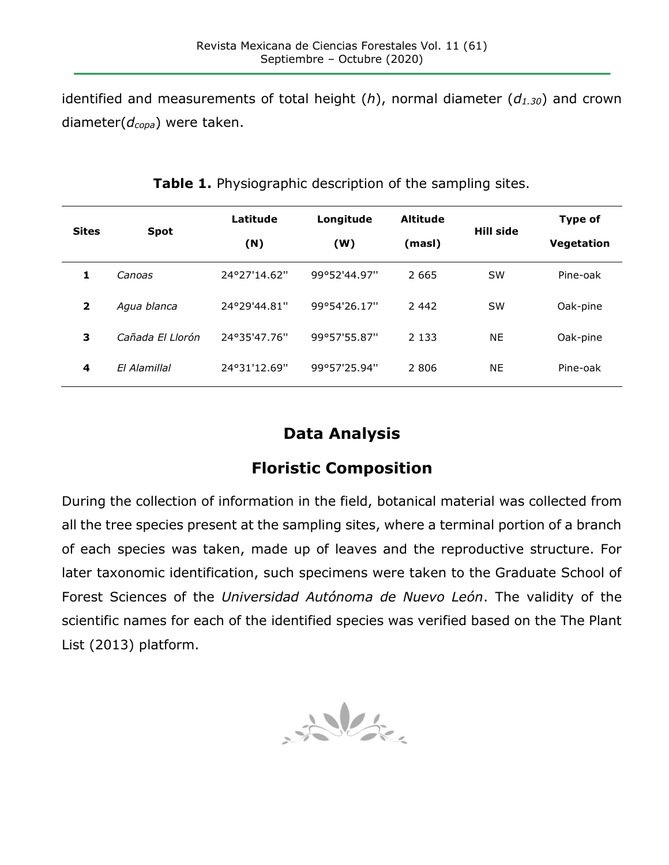identified and measurements of total height (*h*), normal diameter (*d1.30*) and crown diameter(*dcopa*) were taken.

| <b>Sites</b>            | <b>Spot</b>      | Latitude     | Longitude    | <b>Altitude</b> | Hill side | <b>Type of</b> |
|-------------------------|------------------|--------------|--------------|-----------------|-----------|----------------|
|                         |                  | (N)          | (W)          | (masl)          |           | Vegetation     |
|                         | Canoas           | 24°27'14.62" | 99°52'44.97" | 2 6 6 5         | <b>SW</b> | Pine-oak       |
| $\overline{\mathbf{2}}$ | Agua blanca      | 24°29'44.81" | 99°54'26.17" | 2 4 4 2         | <b>SW</b> | Oak-pine       |
| 3                       | Cañada El Llorón | 24°35'47.76" | 99°57'55.87" | 2 1 3 3         | <b>NE</b> | Oak-pine       |
| 4                       | El Alamillal     | 24°31'12.69" | 99°57'25.94" | 2 8 0 6         | <b>NE</b> | Pine-oak       |

**Table 1.** Physiographic description of the sampling sites.

# **Data Analysis**

## **Floristic Composition**

During the collection of information in the field, botanical material was collected from all the tree species present at the sampling sites, where a terminal portion of a branch of each species was taken, made up of leaves and the reproductive structure. For later taxonomic identification, such specimens were taken to the Graduate School of Forest Sciences of the *Universidad Autónoma de Nuevo León*. The validity of the scientific names for each of the identified species was verified based on the The Plant List (2013) platform.

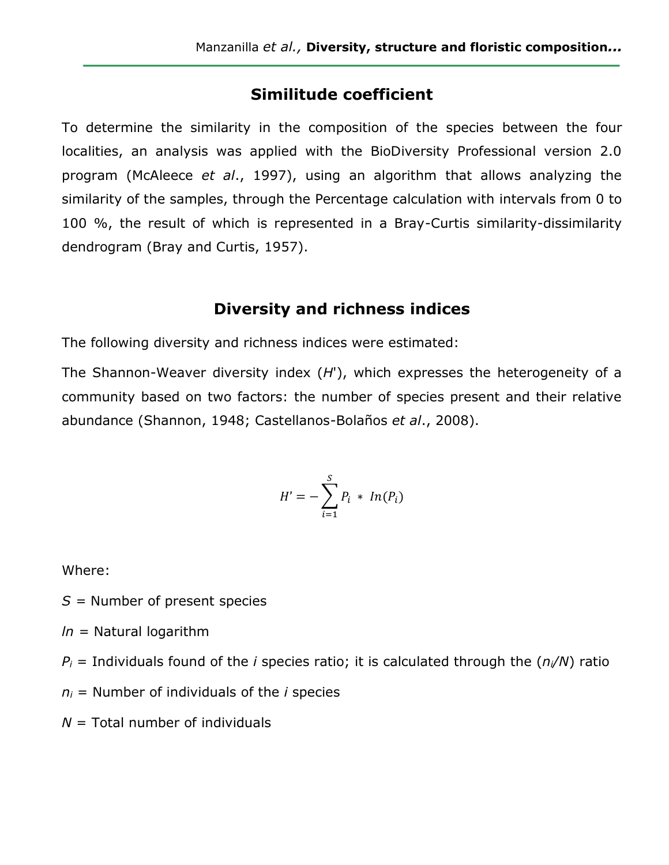### **Similitude coefficient**

To determine the similarity in the composition of the species between the four localities, an analysis was applied with the BioDiversity Professional version 2.0 program (McAleece *et al*., 1997), using an algorithm that allows analyzing the similarity of the samples, through the Percentage calculation with intervals from 0 to 100 %, the result of which is represented in a Bray-Curtis similarity-dissimilarity dendrogram (Bray and Curtis, 1957).

#### **Diversity and richness indices**

The following diversity and richness indices were estimated:

The Shannon-Weaver diversity index (*H*'), which expresses the heterogeneity of a community based on two factors: the number of species present and their relative abundance (Shannon, 1948; Castellanos-Bolaños *et al*., 2008).

$$
H' = -\sum_{i=1}^{S} P_i * In(P_i)
$$

Where:

*S =* Number of present species

*ln =* Natural logarithm

 $P_i$  = Individuals found of the *i* species ratio; it is calculated through the  $(n_i/N)$  ratio

 $n_i$  = Number of individuals of the *i* species

 $N =$  Total number of individuals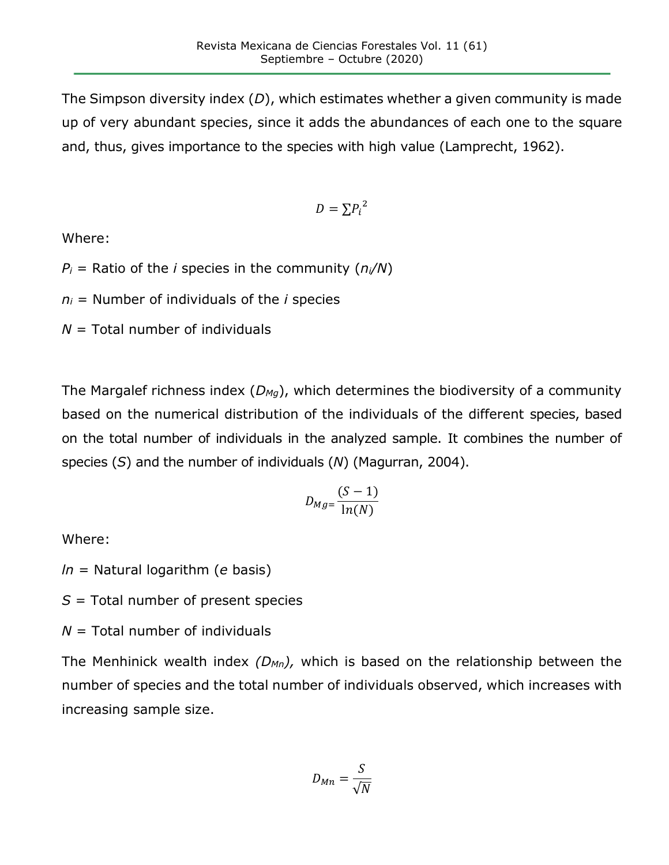The Simpson diversity index (*D*), which estimates whether a given community is made up of very abundant species, since it adds the abundances of each one to the square and, thus, gives importance to the species with high value (Lamprecht, 1962).

$$
D=\Sigma {P_i}^2
$$

Where:

 $P_i$  = Ratio of the *i* species in the community ( $n_i/N$ )

*n<sup>i</sup>* = Number of individuals of the *i* species

*N* = Total number of individuals

The Margalef richness index (*DMg*), which determines the biodiversity of a community based on the numerical distribution of the individuals of the different species, based on the total number of individuals in the analyzed sample. It combines the number of species (*S*) and the number of individuals (*N*) (Magurran, 2004).

$$
D_{Mg} = \frac{(S-1)}{\ln(N)}
$$

Where:

*ln* = Natural logarithm (*e* basis)

*S* = Total number of present species

*N* = Total number of individuals

The Menhinick wealth index *(DMn),* which is based on the relationship between the number of species and the total number of individuals observed, which increases with increasing sample size.

$$
D_{Mn} = \frac{S}{\sqrt{N}}
$$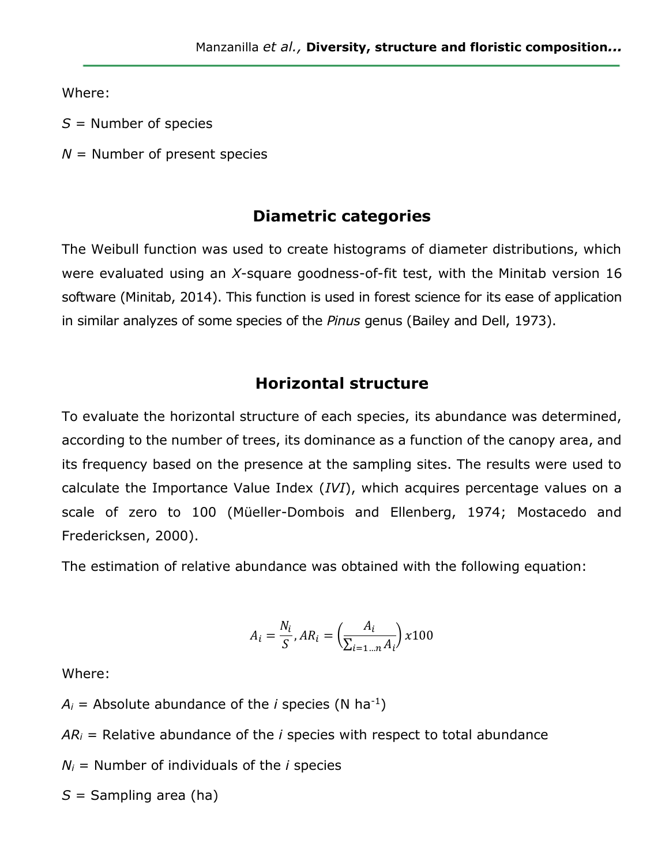Where:

- *S* = Number of species
- *N* = Number of present species

#### **Diametric categories**

The Weibull function was used to create histograms of diameter distributions, which were evaluated using an *X*-square goodness-of-fit test, with the Minitab version 16 software (Minitab, 2014). This function is used in forest science for its ease of application in similar analyzes of some species of the *Pinus* genus (Bailey and Dell, 1973).

#### **Horizontal structure**

To evaluate the horizontal structure of each species, its abundance was determined, according to the number of trees, its dominance as a function of the canopy area, and its frequency based on the presence at the sampling sites. The results were used to calculate the Importance Value Index (*IVI*), which acquires percentage values on a scale of zero to 100 (Müeller-Dombois and Ellenberg, 1974; Mostacedo and Fredericksen, 2000).

The estimation of relative abundance was obtained with the following equation:

$$
A_i = \frac{N_i}{S}, AR_i = \left(\frac{A_i}{\sum_{i=1\ldots n} A_i}\right) x 100
$$

Where:

 $A_i$  = Absolute abundance of the *i* species (N ha<sup>-1</sup>)

 $AR<sub>i</sub>$  = Relative abundance of the *i* species with respect to total abundance

 $N_i$  = Number of individuals of the *i* species

*S* = Sampling area (ha)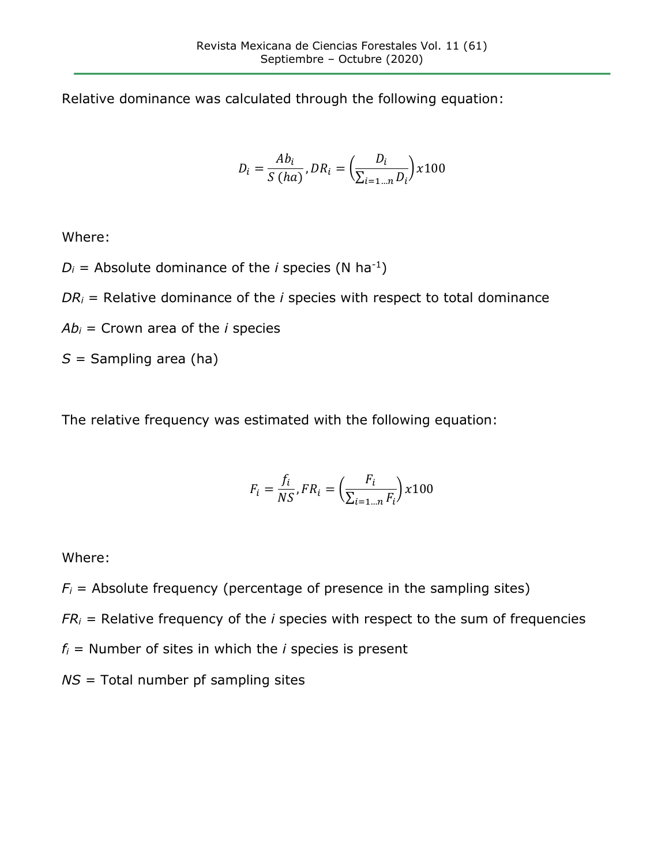Relative dominance was calculated through the following equation:

$$
D_i = \frac{Ab_i}{S(ha)}, DR_i = \left(\frac{D_i}{\sum_{i=1\ldots n} D_i}\right) x100
$$

Where:

 $D_i$  = Absolute dominance of the *i* species (N ha<sup>-1</sup>)

 $DR<sub>i</sub>$  = Relative dominance of the *i* species with respect to total dominance

 $Ab<sub>i</sub>$  = Crown area of the *i* species

*S* = Sampling area (ha)

The relative frequency was estimated with the following equation:

$$
F_i = \frac{f_i}{NS}, FR_i = \left(\frac{F_i}{\sum_{i=1...n} F_i}\right) x 100
$$

Where:

 $F_i$  = Absolute frequency (percentage of presence in the sampling sites)

 $FR<sub>i</sub>$  = Relative frequency of the *i* species with respect to the sum of frequencies

 $f_i$  = Number of sites in which the *i* species is present

*NS* = Total number pf sampling sites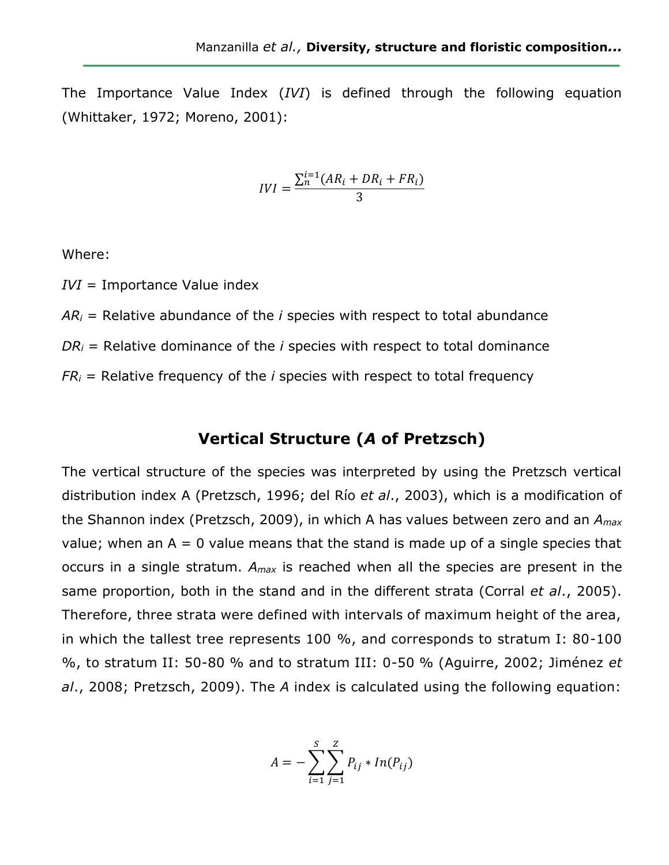The Importance Value Index (*IVI*) is defined through the following equation (Whittaker, 1972; Moreno, 2001):

$$
IVI = \frac{\sum_{n}^{i=1}(AR_i + DR_i + FR_i)}{3}
$$

Where:

*IVI* = Importance Value index

 $AR<sub>i</sub>$  = Relative abundance of the *i* species with respect to total abundance *DR<sup>i</sup>* = Relative dominance of the *i* species with respect to total dominance  $FR<sub>i</sub>$  = Relative frequency of the *i* species with respect to total frequency

### **Vertical Structure (***A* **of Pretzsch)**

The vertical structure of the species was interpreted by using the Pretzsch vertical distribution index A (Pretzsch, 1996; del Río *et al*., 2003), which is a modification of the Shannon index (Pretzsch, 2009), in which A has values between zero and an *Amax* value; when an  $A = 0$  value means that the stand is made up of a single species that occurs in a single stratum. *Amax* is reached when all the species are present in the same proportion, both in the stand and in the different strata (Corral *et al*., 2005). Therefore, three strata were defined with intervals of maximum height of the area, in which the tallest tree represents 100 %, and corresponds to stratum I: 80-100 %, to stratum II: 50-80 % and to stratum III: 0-50 % (Aguirre, 2002; Jiménez *et al*., 2008; Pretzsch, 2009). The *A* index is calculated using the following equation:

$$
A = -\sum_{i=1}^{S} \sum_{j=1}^{Z} P_{ij} * In(P_{ij})
$$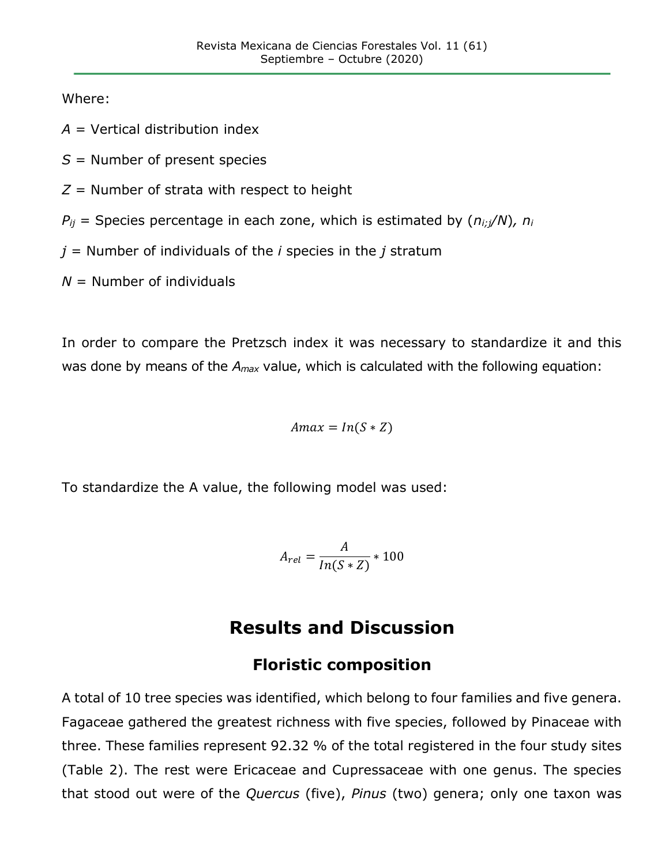Where:

*A* = Vertical distribution index

*S* = Number of present species

*Z* = Number of strata with respect to height

 $P_{ij}$  = Species percentage in each zone, which is estimated by  $(n_{i:j}/N)$ ,  $n_i$ 

*j* = Number of individuals of the *i* species in the *j* stratum

*N* = Number of individuals

In order to compare the Pretzsch index it was necessary to standardize it and this was done by means of the *Amax* value, which is calculated with the following equation:

$$
A max = In(S * Z)
$$

To standardize the A value, the following model was used:

$$
A_{rel} = \frac{A}{In(S*Z)} * 100
$$

# **Results and Discussion**

### **Floristic composition**

A total of 10 tree species was identified, which belong to four families and five genera. Fagaceae gathered the greatest richness with five species, followed by Pinaceae with three. These families represent 92.32 % of the total registered in the four study sites (Table 2). The rest were Ericaceae and Cupressaceae with one genus. The species that stood out were of the *Quercus* (five), *Pinus* (two) genera; only one taxon was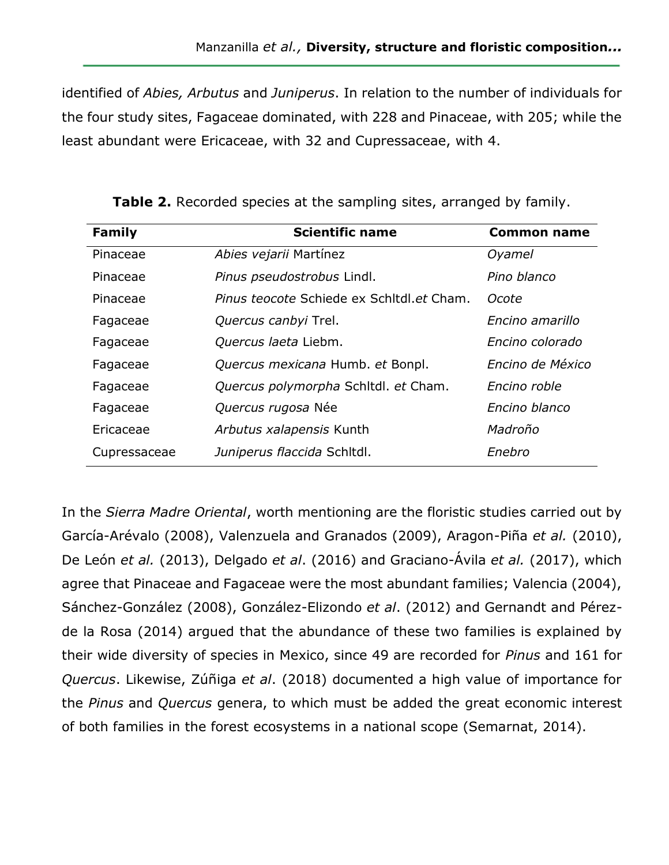identified of *Abies, Arbutus* and *Juniperus*. In relation to the number of individuals for the four study sites, Fagaceae dominated, with 228 and Pinaceae, with 205; while the least abundant were Ericaceae, with 32 and Cupressaceae, with 4.

| Family       | <b>Scientific name</b>                    | Common name      |
|--------------|-------------------------------------------|------------------|
| Pinaceae     | Abies vejarii Martínez                    | Oyamel           |
| Pinaceae     | Pinus pseudostrobus Lindl.                | Pino blanco      |
| Pinaceae     | Pinus teocote Schiede ex Schitdl.et Cham. | Ocote            |
| Fagaceae     | Quercus canbyi Trel.                      | Encino amarillo  |
| Fagaceae     | Quercus laeta Liebm.                      | Encino colorado  |
| Fagaceae     | Quercus mexicana Humb. et Bonpl.          | Encino de México |
| Fagaceae     | Quercus polymorpha Schitdl. et Cham.      | Encino roble     |
| Fagaceae     | Quercus rugosa Née                        | Encino blanco    |
| Ericaceae    | Arbutus xalapensis Kunth                  | Madroño          |
| Cupressaceae | Juniperus flaccida Schitdi.               | Enebro           |

**Table 2.** Recorded species at the sampling sites, arranged by family.

In the *Sierra Madre Oriental*, worth mentioning are the floristic studies carried out by García-Arévalo (2008), Valenzuela and Granados (2009), Aragon-Piña *et al.* (2010), De León *et al.* (2013), Delgado *et al*. (2016) and Graciano-Ávila *et al.* (2017), which agree that Pinaceae and Fagaceae were the most abundant families; Valencia (2004), Sánchez-González (2008), González-Elizondo *et al*. (2012) and Gernandt and Pérezde la Rosa (2014) argued that the abundance of these two families is explained by their wide diversity of species in Mexico, since 49 are recorded for *Pinus* and 161 for *Quercus*. Likewise, Zúñiga *et al*. (2018) documented a high value of importance for the *Pinus* and *Quercus* genera, to which must be added the great economic interest of both families in the forest ecosystems in a national scope (Semarnat, 2014).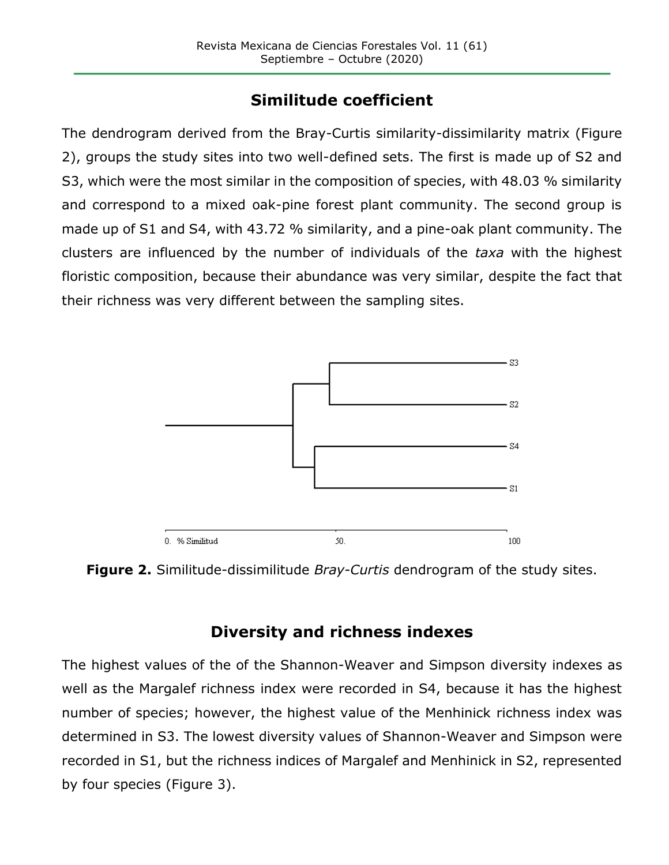# **Similitude coefficient**

The dendrogram derived from the Bray-Curtis similarity-dissimilarity matrix (Figure 2), groups the study sites into two well-defined sets. The first is made up of S2 and S3, which were the most similar in the composition of species, with 48.03 % similarity and correspond to a mixed oak-pine forest plant community. The second group is made up of S1 and S4, with 43.72 % similarity, and a pine-oak plant community. The clusters are influenced by the number of individuals of the *taxa* with the highest floristic composition, because their abundance was very similar, despite the fact that their richness was very different between the sampling sites.



**Figure 2.** Similitude-dissimilitude *Bray-Curtis* dendrogram of the study sites.

## **Diversity and richness indexes**

The highest values of the of the Shannon-Weaver and Simpson diversity indexes as well as the Margalef richness index were recorded in S4, because it has the highest number of species; however, the highest value of the Menhinick richness index was determined in S3. The lowest diversity values of Shannon-Weaver and Simpson were recorded in S1, but the richness indices of Margalef and Menhinick in S2, represented by four species (Figure 3).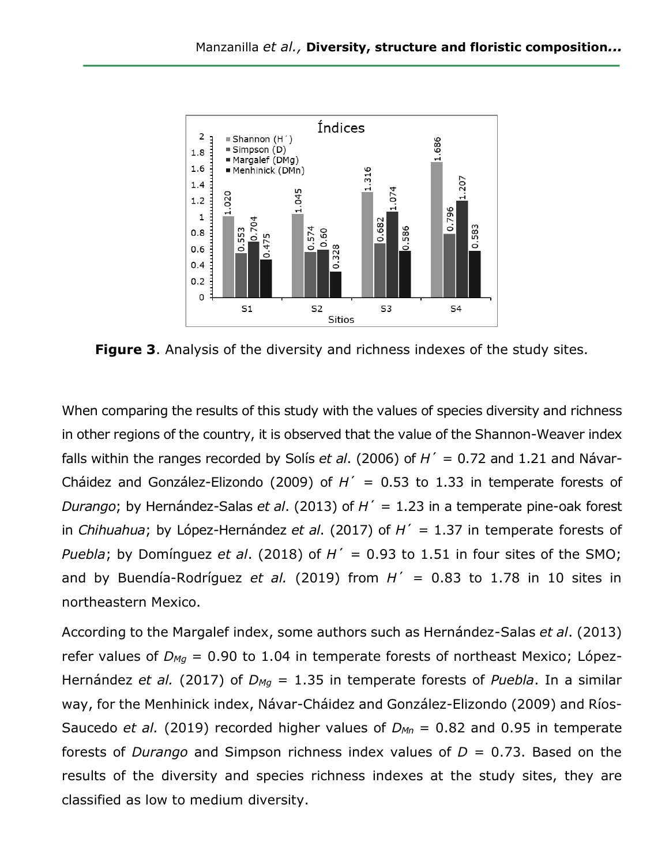

**Figure 3**. Analysis of the diversity and richness indexes of the study sites.

When comparing the results of this study with the values of species diversity and richness in other regions of the country, it is observed that the value of the Shannon-Weaver index falls within the ranges recorded by Solís *et al*. (2006) of *H*´ = 0.72 and 1.21 and Návar-Cháidez and González-Elizondo (2009) of *H*´ = 0.53 to 1.33 in temperate forests of *Durango*; by Hernández-Salas *et al*. (2013) of *H*´ = 1.23 in a temperate pine-oak forest in *Chihuahua*; by López-Hernández *et al*. (2017) of *H*´ = 1.37 in temperate forests of *Puebla*; by Domínguez *et al.* (2018) of  $H' = 0.93$  to 1.51 in four sites of the SMO; and by Buendía-Rodríguez *et al.* (2019) from  $H' = 0.83$  to 1.78 in 10 sites in northeastern Mexico.

According to the Margalef index, some authors such as Hernández-Salas *et al*. (2013) refer values of *DMg* = 0.90 to 1.04 in temperate forests of northeast Mexico; López-Hernández *et al.* (2017) of *DMg* = 1.35 in temperate forests of *Puebla*. In a similar way, for the Menhinick index, Návar-Cháidez and González-Elizondo (2009) and Ríos-Saucedo *et al.* (2019) recorded higher values of *DMn* = 0.82 and 0.95 in temperate forests of *Durango* and Simpson richness index values of *D* = 0.73. Based on the results of the diversity and species richness indexes at the study sites, they are classified as low to medium diversity.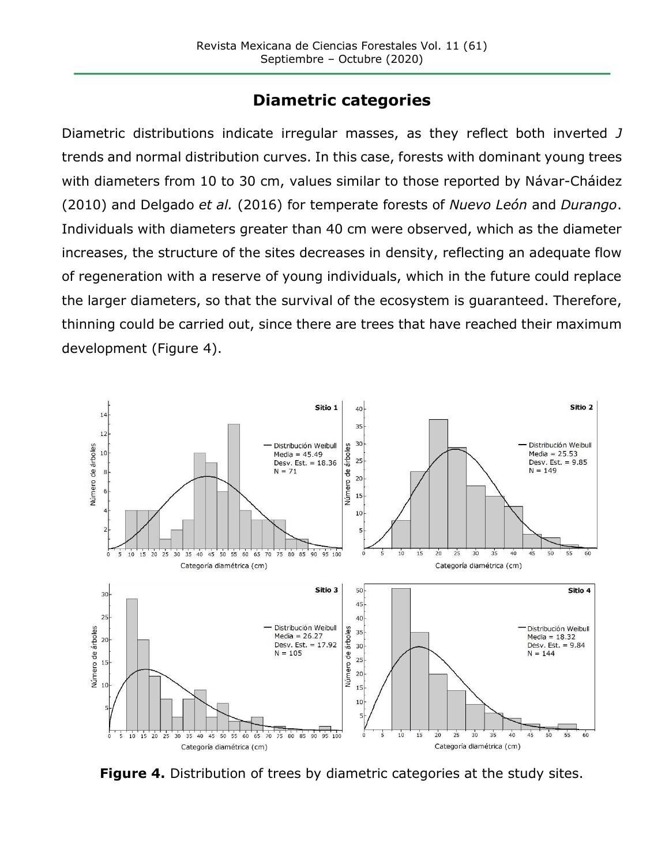### **Diametric categories**

Diametric distributions indicate irregular masses, as they reflect both inverted *J*  trends and normal distribution curves. In this case, forests with dominant young trees with diameters from 10 to 30 cm, values similar to those reported by Návar-Cháidez (2010) and Delgado *et al.* (2016) for temperate forests of *Nuevo León* and *Durango*. Individuals with diameters greater than 40 cm were observed, which as the diameter increases, the structure of the sites decreases in density, reflecting an adequate flow of regeneration with a reserve of young individuals, which in the future could replace the larger diameters, so that the survival of the ecosystem is guaranteed. Therefore, thinning could be carried out, since there are trees that have reached their maximum development (Figure 4).



**Figure 4.** Distribution of trees by diametric categories at the study sites.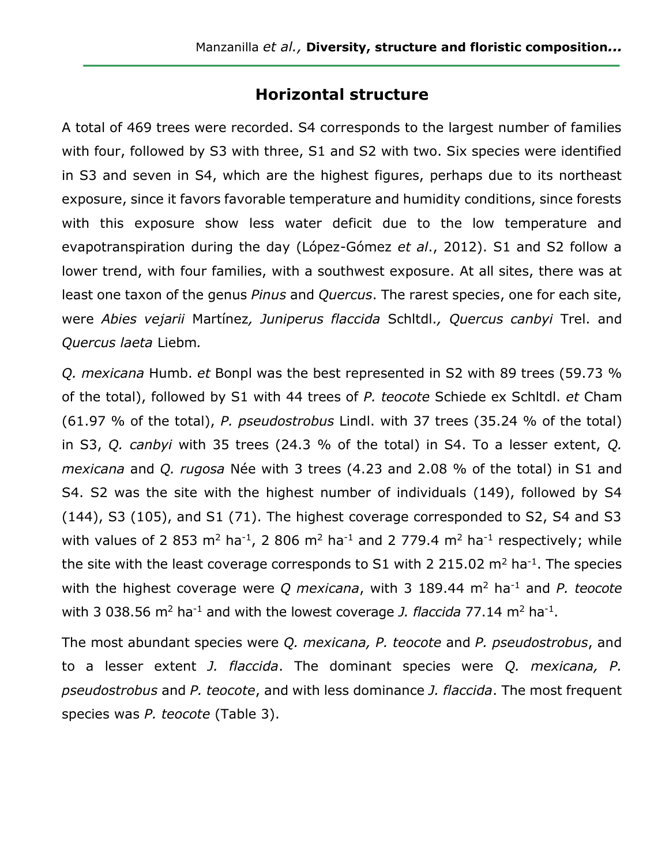#### **Horizontal structure**

A total of 469 trees were recorded. S4 corresponds to the largest number of families with four, followed by S3 with three, S1 and S2 with two. Six species were identified in S3 and seven in S4, which are the highest figures, perhaps due to its northeast exposure, since it favors favorable temperature and humidity conditions, since forests with this exposure show less water deficit due to the low temperature and evapotranspiration during the day (López-Gómez *et al*., 2012). S1 and S2 follow a lower trend, with four families, with a southwest exposure. At all sites, there was at least one taxon of the genus *Pinus* and *Quercus*. The rarest species, one for each site, were *Abies vejarii* Martínez*, Juniperus flaccida* Schltdl.*, Quercus canbyi* Trel. and *Quercus laeta* Liebm*.*

*Q. mexicana* Humb. *et* Bonpl was the best represented in S2 with 89 trees (59.73 % of the total), followed by S1 with 44 trees of *P. teocote* Schiede ex Schltdl. *et* Cham (61.97 % of the total), *P. pseudostrobus* Lindl. with 37 trees (35.24 % of the total) in S3, *Q. canbyi* with 35 trees (24.3 % of the total) in S4. To a lesser extent, *Q. mexicana* and *Q. rugosa* Née with 3 trees (4.23 and 2.08 % of the total) in S1 and S4. S2 was the site with the highest number of individuals (149), followed by S4 (144), S3 (105), and S1 (71). The highest coverage corresponded to S2, S4 and S3 with values of 2 853 m<sup>2</sup> ha<sup>-1</sup>, 2 806 m<sup>2</sup> ha<sup>-1</sup> and 2 779.4 m<sup>2</sup> ha<sup>-1</sup> respectively; while the site with the least coverage corresponds to S1 with 2 215.02  $m^2$  ha<sup>-1</sup>. The species with the highest coverage were *Q mexicana*, with 3 189.44 m<sup>2</sup> ha<sup>-1</sup> and *P. teocote* with 3 038.56  $m^2$  ha<sup>-1</sup> and with the lowest coverage *J. flaccida* 77.14  $m^2$  ha<sup>-1</sup>.

The most abundant species were *Q. mexicana, P. teocote* and *P. pseudostrobus*, and to a lesser extent *J. flaccida*. The dominant species were *Q. mexicana, P. pseudostrobus* and *P. teocote*, and with less dominance *J. flaccida*. The most frequent species was *P. teocote* (Table 3).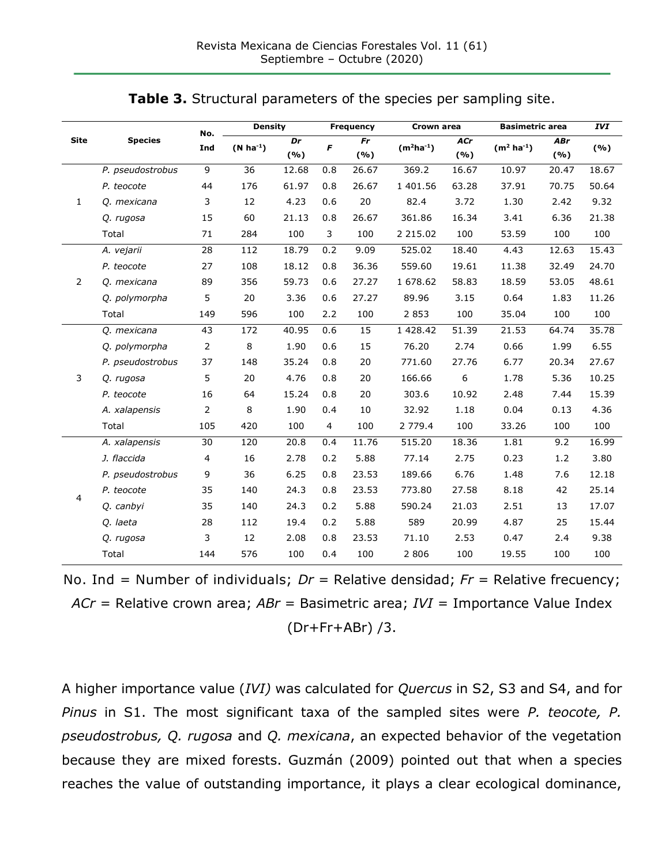| Table 3. Structural parameters of the species per sampling site. |  |  |  |  |  |  |
|------------------------------------------------------------------|--|--|--|--|--|--|
|------------------------------------------------------------------|--|--|--|--|--|--|

|                | <b>Species</b>   | No.            | <b>Density</b>  |           |                | <b>Frequency</b> | Crown area     |            | <b>Basimetric area</b> |                   | <b>IVI</b> |
|----------------|------------------|----------------|-----------------|-----------|----------------|------------------|----------------|------------|------------------------|-------------------|------------|
| <b>Site</b>    |                  | Ind            | $(N ha-1)$      | Dr<br>(%) | F              | Fr<br>(%)        | $(m^2ha^{-1})$ | ACr<br>(%) | $(m2 ha-1)$            | <b>ABr</b><br>(%) | (%)        |
|                | P. pseudostrobus | 9              | $\overline{36}$ | 12.68     | 0.8            | 26.67            | 369.2          | 16.67      | 10.97                  | 20.47             | 18.67      |
|                | P. teocote       | 44             | 176             | 61.97     | 0.8            | 26.67            | 1 401.56       | 63.28      | 37.91                  | 70.75             | 50.64      |
| $\mathbf{1}$   | Q. mexicana      | 3              | 12              | 4.23      | 0.6            | 20               | 82.4           | 3.72       | 1.30                   | 2.42              | 9.32       |
|                | Q. rugosa        | 15             | 60              | 21.13     | 0.8            | 26.67            | 361.86         | 16.34      | 3.41                   | 6.36              | 21.38      |
|                | Total            | 71             | 284             | 100       | 3              | 100              | 2 2 1 5 . 0 2  | 100        | 53.59                  | 100               | 100        |
|                | A. vejarii       | 28             | 112             | 18.79     | 0.2            | 9.09             | 525.02         | 18.40      | 4.43                   | 12.63             | 15.43      |
|                | P. teocote       | 27             | 108             | 18.12     | 0.8            | 36.36            | 559.60         | 19.61      | 11.38                  | 32.49             | 24.70      |
| $\overline{2}$ | Q. mexicana      | 89             | 356             | 59.73     | 0.6            | 27.27            | 1 678.62       | 58.83      | 18.59                  | 53.05             | 48.61      |
|                | Q. polymorpha    | 5              | 20              | 3.36      | 0.6            | 27.27            | 89.96          | 3.15       | 0.64                   | 1.83              | 11.26      |
|                | Total            | 149            | 596             | 100       | 2.2            | 100              | 2 8 5 3        | 100        | 35.04                  | 100               | 100        |
|                | Q. mexicana      | 43             | 172             | 40.95     | 0.6            | 15               | 1 428.42       | 51.39      | 21.53                  | 64.74             | 35.78      |
|                | Q. polymorpha    | $\mathbf 2$    | 8               | 1.90      | 0.6            | 15               | 76.20          | 2.74       | 0.66                   | 1.99              | 6.55       |
|                | P. pseudostrobus | 37             | 148             | 35.24     | 0.8            | 20               | 771.60         | 27.76      | 6.77                   | 20.34             | 27.67      |
| 3              | Q. rugosa        | 5              | 20              | 4.76      | 0.8            | 20               | 166.66         | 6          | 1.78                   | 5.36              | 10.25      |
|                | P. teocote       | 16             | 64              | 15.24     | 0.8            | 20               | 303.6          | 10.92      | 2.48                   | 7.44              | 15.39      |
|                | A. xalapensis    | $\overline{2}$ | 8               | 1.90      | 0.4            | 10               | 32.92          | 1.18       | 0.04                   | 0.13              | 4.36       |
|                | Total            | 105            | 420             | 100       | $\overline{4}$ | 100              | 2 779.4        | 100        | 33.26                  | 100               | 100        |
|                | A. xalapensis    | 30             | 120             | 20.8      | 0.4            | 11.76            | 515.20         | 18.36      | 1.81                   | 9.2               | 16.99      |
|                | J. flaccida      | 4              | 16              | 2.78      | 0.2            | 5.88             | 77.14          | 2.75       | 0.23                   | 1.2               | 3.80       |
|                | P. pseudostrobus | 9              | 36              | 6.25      | 0.8            | 23.53            | 189.66         | 6.76       | 1.48                   | 7.6               | 12.18      |
| $\overline{4}$ | P. teocote       | 35             | 140             | 24.3      | 0.8            | 23.53            | 773.80         | 27.58      | 8.18                   | 42                | 25.14      |
|                | Q. canbyi        | 35             | 140             | 24.3      | 0.2            | 5.88             | 590.24         | 21.03      | 2.51                   | 13                | 17.07      |
|                | Q. laeta         | 28             | 112             | 19.4      | 0.2            | 5.88             | 589            | 20.99      | 4.87                   | 25                | 15.44      |
|                | Q. rugosa        | 3              | 12              | 2.08      | 0.8            | 23.53            | 71.10          | 2.53       | 0.47                   | 2.4               | 9.38       |
|                | Total            | 144            | 576             | 100       | 0.4            | 100              | 2 8 0 6        | 100        | 19.55                  | 100               | 100        |

No. Ind = Number of individuals; *Dr* = Relative densidad; *Fr* = Relative frecuency; *ACr* = Relative crown area; *ABr* = Basimetric area; *IVI* = Importance Value Index (Dr+Fr+ABr) /3.

A higher importance value (*IVI)* was calculated for *Quercus* in S2, S3 and S4, and for *Pinus* in S1. The most significant taxa of the sampled sites were *P. teocote, P. pseudostrobus, Q. rugosa* and *Q. mexicana*, an expected behavior of the vegetation because they are mixed forests. Guzmán (2009) pointed out that when a species reaches the value of outstanding importance, it plays a clear ecological dominance,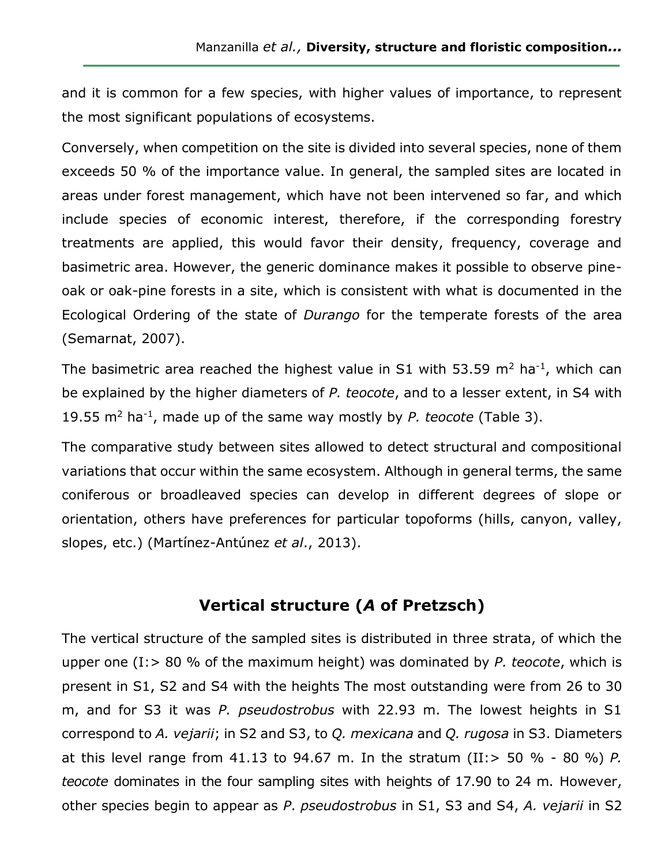and it is common for a few species, with higher values of importance, to represent the most significant populations of ecosystems.

Conversely, when competition on the site is divided into several species, none of them exceeds 50 % of the importance value. In general, the sampled sites are located in areas under forest management, which have not been intervened so far, and which include species of economic interest, therefore, if the corresponding forestry treatments are applied, this would favor their density, frequency, coverage and basimetric area. However, the generic dominance makes it possible to observe pineoak or oak-pine forests in a site, which is consistent with what is documented in the Ecological Ordering of the state of *Durango* for the temperate forests of the area (Semarnat, 2007).

The basimetric area reached the highest value in S1 with 53.59  $m^2$  ha<sup>-1</sup>, which can be explained by the higher diameters of *P. teocote*, and to a lesser extent, in S4 with 19.55 m<sup>2</sup> ha-1 , made up of the same way mostly by *P. teocote* (Table 3).

The comparative study between sites allowed to detect structural and compositional variations that occur within the same ecosystem. Although in general terms, the same coniferous or broadleaved species can develop in different degrees of slope or orientation, others have preferences for particular topoforms (hills, canyon, valley, slopes, etc.) (Martínez-Antúnez *et al*., 2013).

### **Vertical structure (***A* **of Pretzsch)**

The vertical structure of the sampled sites is distributed in three strata, of which the upper one (I:> 80 % of the maximum height) was dominated by *P. teocote*, which is present in S1, S2 and S4 with the heights The most outstanding were from 26 to 30 m, and for S3 it was *P. pseudostrobus* with 22.93 m. The lowest heights in S1 correspond to *A. vejarii*; in S2 and S3, to *Q. mexicana* and *Q. rugosa* in S3. Diameters at this level range from 41.13 to 94.67 m. In the stratum (II:> 50 % - 80 %) *P. teocote* dominates in the four sampling sites with heights of 17.90 to 24 m. However, other species begin to appear as *P*. *pseudostrobus* in S1, S3 and S4, *A. vejarii* in S2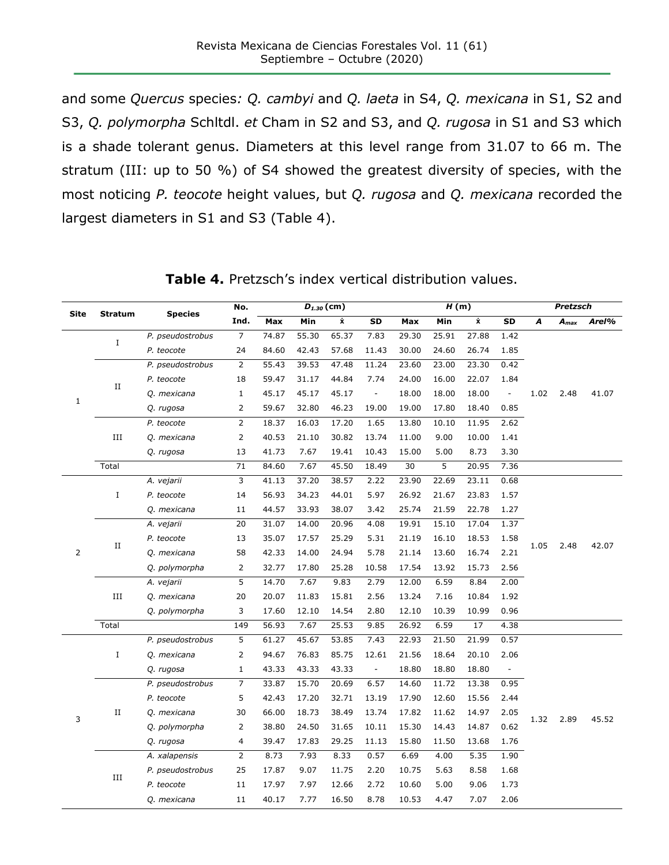and some *Quercus* species*: Q. cambyi* and *Q. laeta* in S4, *Q. mexicana* in S1, S2 and S3, *Q. polymorpha* Schltdl. *et* Cham in S2 and S3, and *Q. rugosa* in S1 and S3 which is a shade tolerant genus. Diameters at this level range from 31.07 to 66 m. The stratum (III: up to 50 %) of S4 showed the greatest diversity of species, with the most noticing *P. teocote* height values, but *Q. rugosa* and *Q. mexicana* recorded the largest diameters in S1 and S3 (Table 4).

| $\dot{\mathbf{x}}$<br>$\dot{\mathbf{x}}$<br>Ind.<br>Max<br>Min<br>SD<br>Max<br>Min<br>SD<br>A<br>Arel%<br>$A_{max}$<br>$\overline{7}$<br>55.30<br>65.37<br>25.91<br>27.88<br>P. pseudostrobus<br>74.87<br>7.83<br>29.30<br>1.42<br>$\bf{I}$<br>24.60<br>26.74<br>84.60<br>42.43<br>57.68<br>11.43<br>30.00<br>1.85<br>P. teocote<br>24<br>0.42<br>P. pseudostrobus<br>$\overline{2}$<br>55.43<br>39.53<br>47.48<br>11.24<br>23.60<br>23.00<br>23.30<br>18<br>59.47<br>31.17<br>44.84<br>7.74<br>16.00<br>22.07<br>1.84<br>P. teocote<br>24.00<br>П<br>45.17<br>Q. mexicana<br>$\mathbf{1}$<br>45.17<br>45.17<br>18.00<br>18.00<br>18.00<br>1.02<br>2.48<br>41.07<br>$\Box$<br>$\blacksquare$<br>$\mathbf 1$<br>2<br>59.67<br>32.80<br>46.23<br>17.80<br>18.40<br>0.85<br>19.00<br>19.00<br>Q. rugosa<br>$\overline{2}$<br>18.37<br>16.03<br>17.20<br>1.65<br>10.10<br>11.95<br>2.62<br>P. teocote<br>13.80<br>$\rm III$<br>$\overline{2}$<br>40.53<br>21.10<br>30.82<br>13.74<br>9.00<br>10.00<br>1.41<br>Q. mexicana<br>11.00<br>13<br>41.73<br>7.67<br>19.41<br>10.43<br>15.00<br>5.00<br>8.73<br>3.30<br>Q. rugosa<br>71<br>7.67<br>5<br>Total<br>84.60<br>45.50<br>18.49<br>30<br>20.95<br>7.36<br>3<br>37.20<br>38.57<br>2.22<br>22.69<br>A. vejarii<br>41.13<br>23.90<br>23.11<br>0.68<br>$\;$ I<br>34.23<br>14<br>56.93<br>44.01<br>5.97<br>26.92<br>21.67<br>23.83<br>1.57<br>P. teocote<br>44.57<br>33.93<br>38.07<br>3.42<br>25.74<br>21.59<br>22.78<br>1.27<br>Q. mexicana<br>11<br>15.10<br>17.04<br>20<br>31.07<br>14.00<br>20.96<br>4.08<br>19.91<br>1.37<br>A. vejarii<br>P. teocote<br>13<br>35.07<br>17.57<br>25.29<br>5.31<br>21.19<br>16.10<br>18.53<br>1.58<br>$\rm II$<br>1.05<br>2.48<br>42.07<br>58<br>42.33<br>14.00<br>24.94<br>5.78<br>21.14<br>13.60<br>16.74<br>2.21<br>Q. mexicana<br>$\mathbf{2}$<br>32.77<br>17.80<br>25.28<br>10.58<br>17.54<br>13.92<br>15.73<br>2.56<br>Q. polymorpha<br>5<br>7.67<br>9.83<br>6.59<br>8.84<br>2.00<br>14.70<br>2.79<br>12.00<br>A. vejarii<br>Ш<br>20<br>20.07<br>11.83<br>15.81<br>2.56<br>7.16<br>10.84<br>1.92<br>Q. mexicana<br>13.24<br>3<br>17.60<br>12.10<br>14.54<br>2.80<br>10.39<br>0.96<br>Q. polymorpha<br>12.10<br>10.99<br>Total<br>7.67<br>25.53<br>6.59<br>17<br>149<br>56.93<br>9.85<br>26.92<br>4.38<br>45.67<br>53.85<br>5<br>61.27<br>7.43<br>22.93<br>21.50<br>21.99<br>0.57<br>P. pseudostrobus<br>$\;$ I<br>$\overline{2}$<br>76.83<br>85.75<br>12.61<br>18.64<br>20.10<br>2.06<br>Q. mexicana<br>94.67<br>21.56<br>$\mathbf{1}$<br>43.33<br>43.33<br>43.33<br>$\bar{\phantom{a}}$<br>18.80<br>18.80<br>18.80<br>$\overline{\phantom{a}}$<br>Q. rugosa<br>7<br>33.87<br>15.70<br>20.69<br>6.57<br>14.60<br>11.72<br>13.38<br>0.95<br>P. pseudostrobus<br>5<br>42.43<br>17.20<br>32.71<br>13.19<br>17.90<br>12.60<br>15.56<br>2.44<br>P. teocote<br>$\rm II$<br>18.73<br>38.49<br>13.74<br>17.82<br>11.62<br>2.05<br>30<br>66.00<br>14.97<br>Q. mexicana<br>3<br>2.89<br>45.52<br>1.32<br>$\overline{2}$<br>38.80<br>24.50<br>31.65<br>10.11<br>15.30<br>14.43<br>14.87<br>0.62<br>Q. polymorpha<br>4<br>39.47<br>17.83<br>29.25<br>15.80<br>11.50<br>1.76<br>Q. rugosa<br>11.13<br>13.68<br>$\overline{2}$<br>7.93<br>8.33<br>0.57<br>4.00<br>A. xalapensis<br>8.73<br>6.69<br>5.35<br>1.90<br>25<br>9.07<br>11.75<br>2.20<br>5.63<br>8.58<br>1.68<br>P. pseudostrobus<br>17.87<br>10.75<br>Ш<br>11<br>17.97<br>7.97<br>12.66<br>2.72<br>10.60<br>5.00<br>9.06<br>1.73<br>P. teocote<br>7.77<br>16.50<br>8.78<br>4.47<br>7.07<br>2.06<br>Q. mexicana<br>11<br>40.17<br>10.53 | <b>Site</b> | Stratum | <b>Species</b> | No. |  | $D_{1.30}$ (cm) |  | H(m) |  |  | <b>Pretzsch</b> |  |
|-----------------------------------------------------------------------------------------------------------------------------------------------------------------------------------------------------------------------------------------------------------------------------------------------------------------------------------------------------------------------------------------------------------------------------------------------------------------------------------------------------------------------------------------------------------------------------------------------------------------------------------------------------------------------------------------------------------------------------------------------------------------------------------------------------------------------------------------------------------------------------------------------------------------------------------------------------------------------------------------------------------------------------------------------------------------------------------------------------------------------------------------------------------------------------------------------------------------------------------------------------------------------------------------------------------------------------------------------------------------------------------------------------------------------------------------------------------------------------------------------------------------------------------------------------------------------------------------------------------------------------------------------------------------------------------------------------------------------------------------------------------------------------------------------------------------------------------------------------------------------------------------------------------------------------------------------------------------------------------------------------------------------------------------------------------------------------------------------------------------------------------------------------------------------------------------------------------------------------------------------------------------------------------------------------------------------------------------------------------------------------------------------------------------------------------------------------------------------------------------------------------------------------------------------------------------------------------------------------------------------------------------------------------------------------------------------------------------------------------------------------------------------------------------------------------------------------------------------------------------------------------------------------------------------------------------------------------------------------------------------------------------------------------------------------------------------------------------------------------------------------------------------------------------------------------------------------------------------------------------------------------------------------------------------------------------------------------------------------------------------------------------------------------------------------------------------------------------------------------------------------------------------------------------------------------------------|-------------|---------|----------------|-----|--|-----------------|--|------|--|--|-----------------|--|
|                                                                                                                                                                                                                                                                                                                                                                                                                                                                                                                                                                                                                                                                                                                                                                                                                                                                                                                                                                                                                                                                                                                                                                                                                                                                                                                                                                                                                                                                                                                                                                                                                                                                                                                                                                                                                                                                                                                                                                                                                                                                                                                                                                                                                                                                                                                                                                                                                                                                                                                                                                                                                                                                                                                                                                                                                                                                                                                                                                                                                                                                                                                                                                                                                                                                                                                                                                                                                                                                                                                                                                       |             |         |                |     |  |                 |  |      |  |  |                 |  |
|                                                                                                                                                                                                                                                                                                                                                                                                                                                                                                                                                                                                                                                                                                                                                                                                                                                                                                                                                                                                                                                                                                                                                                                                                                                                                                                                                                                                                                                                                                                                                                                                                                                                                                                                                                                                                                                                                                                                                                                                                                                                                                                                                                                                                                                                                                                                                                                                                                                                                                                                                                                                                                                                                                                                                                                                                                                                                                                                                                                                                                                                                                                                                                                                                                                                                                                                                                                                                                                                                                                                                                       |             |         |                |     |  |                 |  |      |  |  |                 |  |
|                                                                                                                                                                                                                                                                                                                                                                                                                                                                                                                                                                                                                                                                                                                                                                                                                                                                                                                                                                                                                                                                                                                                                                                                                                                                                                                                                                                                                                                                                                                                                                                                                                                                                                                                                                                                                                                                                                                                                                                                                                                                                                                                                                                                                                                                                                                                                                                                                                                                                                                                                                                                                                                                                                                                                                                                                                                                                                                                                                                                                                                                                                                                                                                                                                                                                                                                                                                                                                                                                                                                                                       |             |         |                |     |  |                 |  |      |  |  |                 |  |
|                                                                                                                                                                                                                                                                                                                                                                                                                                                                                                                                                                                                                                                                                                                                                                                                                                                                                                                                                                                                                                                                                                                                                                                                                                                                                                                                                                                                                                                                                                                                                                                                                                                                                                                                                                                                                                                                                                                                                                                                                                                                                                                                                                                                                                                                                                                                                                                                                                                                                                                                                                                                                                                                                                                                                                                                                                                                                                                                                                                                                                                                                                                                                                                                                                                                                                                                                                                                                                                                                                                                                                       |             |         |                |     |  |                 |  |      |  |  |                 |  |
|                                                                                                                                                                                                                                                                                                                                                                                                                                                                                                                                                                                                                                                                                                                                                                                                                                                                                                                                                                                                                                                                                                                                                                                                                                                                                                                                                                                                                                                                                                                                                                                                                                                                                                                                                                                                                                                                                                                                                                                                                                                                                                                                                                                                                                                                                                                                                                                                                                                                                                                                                                                                                                                                                                                                                                                                                                                                                                                                                                                                                                                                                                                                                                                                                                                                                                                                                                                                                                                                                                                                                                       |             |         |                |     |  |                 |  |      |  |  |                 |  |
|                                                                                                                                                                                                                                                                                                                                                                                                                                                                                                                                                                                                                                                                                                                                                                                                                                                                                                                                                                                                                                                                                                                                                                                                                                                                                                                                                                                                                                                                                                                                                                                                                                                                                                                                                                                                                                                                                                                                                                                                                                                                                                                                                                                                                                                                                                                                                                                                                                                                                                                                                                                                                                                                                                                                                                                                                                                                                                                                                                                                                                                                                                                                                                                                                                                                                                                                                                                                                                                                                                                                                                       |             |         |                |     |  |                 |  |      |  |  |                 |  |
|                                                                                                                                                                                                                                                                                                                                                                                                                                                                                                                                                                                                                                                                                                                                                                                                                                                                                                                                                                                                                                                                                                                                                                                                                                                                                                                                                                                                                                                                                                                                                                                                                                                                                                                                                                                                                                                                                                                                                                                                                                                                                                                                                                                                                                                                                                                                                                                                                                                                                                                                                                                                                                                                                                                                                                                                                                                                                                                                                                                                                                                                                                                                                                                                                                                                                                                                                                                                                                                                                                                                                                       |             |         |                |     |  |                 |  |      |  |  |                 |  |
|                                                                                                                                                                                                                                                                                                                                                                                                                                                                                                                                                                                                                                                                                                                                                                                                                                                                                                                                                                                                                                                                                                                                                                                                                                                                                                                                                                                                                                                                                                                                                                                                                                                                                                                                                                                                                                                                                                                                                                                                                                                                                                                                                                                                                                                                                                                                                                                                                                                                                                                                                                                                                                                                                                                                                                                                                                                                                                                                                                                                                                                                                                                                                                                                                                                                                                                                                                                                                                                                                                                                                                       |             |         |                |     |  |                 |  |      |  |  |                 |  |
|                                                                                                                                                                                                                                                                                                                                                                                                                                                                                                                                                                                                                                                                                                                                                                                                                                                                                                                                                                                                                                                                                                                                                                                                                                                                                                                                                                                                                                                                                                                                                                                                                                                                                                                                                                                                                                                                                                                                                                                                                                                                                                                                                                                                                                                                                                                                                                                                                                                                                                                                                                                                                                                                                                                                                                                                                                                                                                                                                                                                                                                                                                                                                                                                                                                                                                                                                                                                                                                                                                                                                                       |             |         |                |     |  |                 |  |      |  |  |                 |  |
|                                                                                                                                                                                                                                                                                                                                                                                                                                                                                                                                                                                                                                                                                                                                                                                                                                                                                                                                                                                                                                                                                                                                                                                                                                                                                                                                                                                                                                                                                                                                                                                                                                                                                                                                                                                                                                                                                                                                                                                                                                                                                                                                                                                                                                                                                                                                                                                                                                                                                                                                                                                                                                                                                                                                                                                                                                                                                                                                                                                                                                                                                                                                                                                                                                                                                                                                                                                                                                                                                                                                                                       |             |         |                |     |  |                 |  |      |  |  |                 |  |
|                                                                                                                                                                                                                                                                                                                                                                                                                                                                                                                                                                                                                                                                                                                                                                                                                                                                                                                                                                                                                                                                                                                                                                                                                                                                                                                                                                                                                                                                                                                                                                                                                                                                                                                                                                                                                                                                                                                                                                                                                                                                                                                                                                                                                                                                                                                                                                                                                                                                                                                                                                                                                                                                                                                                                                                                                                                                                                                                                                                                                                                                                                                                                                                                                                                                                                                                                                                                                                                                                                                                                                       |             |         |                |     |  |                 |  |      |  |  |                 |  |
|                                                                                                                                                                                                                                                                                                                                                                                                                                                                                                                                                                                                                                                                                                                                                                                                                                                                                                                                                                                                                                                                                                                                                                                                                                                                                                                                                                                                                                                                                                                                                                                                                                                                                                                                                                                                                                                                                                                                                                                                                                                                                                                                                                                                                                                                                                                                                                                                                                                                                                                                                                                                                                                                                                                                                                                                                                                                                                                                                                                                                                                                                                                                                                                                                                                                                                                                                                                                                                                                                                                                                                       |             |         |                |     |  |                 |  |      |  |  |                 |  |
|                                                                                                                                                                                                                                                                                                                                                                                                                                                                                                                                                                                                                                                                                                                                                                                                                                                                                                                                                                                                                                                                                                                                                                                                                                                                                                                                                                                                                                                                                                                                                                                                                                                                                                                                                                                                                                                                                                                                                                                                                                                                                                                                                                                                                                                                                                                                                                                                                                                                                                                                                                                                                                                                                                                                                                                                                                                                                                                                                                                                                                                                                                                                                                                                                                                                                                                                                                                                                                                                                                                                                                       |             |         |                |     |  |                 |  |      |  |  |                 |  |
|                                                                                                                                                                                                                                                                                                                                                                                                                                                                                                                                                                                                                                                                                                                                                                                                                                                                                                                                                                                                                                                                                                                                                                                                                                                                                                                                                                                                                                                                                                                                                                                                                                                                                                                                                                                                                                                                                                                                                                                                                                                                                                                                                                                                                                                                                                                                                                                                                                                                                                                                                                                                                                                                                                                                                                                                                                                                                                                                                                                                                                                                                                                                                                                                                                                                                                                                                                                                                                                                                                                                                                       |             |         |                |     |  |                 |  |      |  |  |                 |  |
|                                                                                                                                                                                                                                                                                                                                                                                                                                                                                                                                                                                                                                                                                                                                                                                                                                                                                                                                                                                                                                                                                                                                                                                                                                                                                                                                                                                                                                                                                                                                                                                                                                                                                                                                                                                                                                                                                                                                                                                                                                                                                                                                                                                                                                                                                                                                                                                                                                                                                                                                                                                                                                                                                                                                                                                                                                                                                                                                                                                                                                                                                                                                                                                                                                                                                                                                                                                                                                                                                                                                                                       |             |         |                |     |  |                 |  |      |  |  |                 |  |
|                                                                                                                                                                                                                                                                                                                                                                                                                                                                                                                                                                                                                                                                                                                                                                                                                                                                                                                                                                                                                                                                                                                                                                                                                                                                                                                                                                                                                                                                                                                                                                                                                                                                                                                                                                                                                                                                                                                                                                                                                                                                                                                                                                                                                                                                                                                                                                                                                                                                                                                                                                                                                                                                                                                                                                                                                                                                                                                                                                                                                                                                                                                                                                                                                                                                                                                                                                                                                                                                                                                                                                       |             |         |                |     |  |                 |  |      |  |  |                 |  |
|                                                                                                                                                                                                                                                                                                                                                                                                                                                                                                                                                                                                                                                                                                                                                                                                                                                                                                                                                                                                                                                                                                                                                                                                                                                                                                                                                                                                                                                                                                                                                                                                                                                                                                                                                                                                                                                                                                                                                                                                                                                                                                                                                                                                                                                                                                                                                                                                                                                                                                                                                                                                                                                                                                                                                                                                                                                                                                                                                                                                                                                                                                                                                                                                                                                                                                                                                                                                                                                                                                                                                                       |             |         |                |     |  |                 |  |      |  |  |                 |  |
|                                                                                                                                                                                                                                                                                                                                                                                                                                                                                                                                                                                                                                                                                                                                                                                                                                                                                                                                                                                                                                                                                                                                                                                                                                                                                                                                                                                                                                                                                                                                                                                                                                                                                                                                                                                                                                                                                                                                                                                                                                                                                                                                                                                                                                                                                                                                                                                                                                                                                                                                                                                                                                                                                                                                                                                                                                                                                                                                                                                                                                                                                                                                                                                                                                                                                                                                                                                                                                                                                                                                                                       |             |         |                |     |  |                 |  |      |  |  |                 |  |
|                                                                                                                                                                                                                                                                                                                                                                                                                                                                                                                                                                                                                                                                                                                                                                                                                                                                                                                                                                                                                                                                                                                                                                                                                                                                                                                                                                                                                                                                                                                                                                                                                                                                                                                                                                                                                                                                                                                                                                                                                                                                                                                                                                                                                                                                                                                                                                                                                                                                                                                                                                                                                                                                                                                                                                                                                                                                                                                                                                                                                                                                                                                                                                                                                                                                                                                                                                                                                                                                                                                                                                       |             |         |                |     |  |                 |  |      |  |  |                 |  |
|                                                                                                                                                                                                                                                                                                                                                                                                                                                                                                                                                                                                                                                                                                                                                                                                                                                                                                                                                                                                                                                                                                                                                                                                                                                                                                                                                                                                                                                                                                                                                                                                                                                                                                                                                                                                                                                                                                                                                                                                                                                                                                                                                                                                                                                                                                                                                                                                                                                                                                                                                                                                                                                                                                                                                                                                                                                                                                                                                                                                                                                                                                                                                                                                                                                                                                                                                                                                                                                                                                                                                                       |             |         |                |     |  |                 |  |      |  |  |                 |  |
|                                                                                                                                                                                                                                                                                                                                                                                                                                                                                                                                                                                                                                                                                                                                                                                                                                                                                                                                                                                                                                                                                                                                                                                                                                                                                                                                                                                                                                                                                                                                                                                                                                                                                                                                                                                                                                                                                                                                                                                                                                                                                                                                                                                                                                                                                                                                                                                                                                                                                                                                                                                                                                                                                                                                                                                                                                                                                                                                                                                                                                                                                                                                                                                                                                                                                                                                                                                                                                                                                                                                                                       |             |         |                |     |  |                 |  |      |  |  |                 |  |
|                                                                                                                                                                                                                                                                                                                                                                                                                                                                                                                                                                                                                                                                                                                                                                                                                                                                                                                                                                                                                                                                                                                                                                                                                                                                                                                                                                                                                                                                                                                                                                                                                                                                                                                                                                                                                                                                                                                                                                                                                                                                                                                                                                                                                                                                                                                                                                                                                                                                                                                                                                                                                                                                                                                                                                                                                                                                                                                                                                                                                                                                                                                                                                                                                                                                                                                                                                                                                                                                                                                                                                       |             |         |                |     |  |                 |  |      |  |  |                 |  |
|                                                                                                                                                                                                                                                                                                                                                                                                                                                                                                                                                                                                                                                                                                                                                                                                                                                                                                                                                                                                                                                                                                                                                                                                                                                                                                                                                                                                                                                                                                                                                                                                                                                                                                                                                                                                                                                                                                                                                                                                                                                                                                                                                                                                                                                                                                                                                                                                                                                                                                                                                                                                                                                                                                                                                                                                                                                                                                                                                                                                                                                                                                                                                                                                                                                                                                                                                                                                                                                                                                                                                                       |             |         |                |     |  |                 |  |      |  |  |                 |  |
|                                                                                                                                                                                                                                                                                                                                                                                                                                                                                                                                                                                                                                                                                                                                                                                                                                                                                                                                                                                                                                                                                                                                                                                                                                                                                                                                                                                                                                                                                                                                                                                                                                                                                                                                                                                                                                                                                                                                                                                                                                                                                                                                                                                                                                                                                                                                                                                                                                                                                                                                                                                                                                                                                                                                                                                                                                                                                                                                                                                                                                                                                                                                                                                                                                                                                                                                                                                                                                                                                                                                                                       |             |         |                |     |  |                 |  |      |  |  |                 |  |
|                                                                                                                                                                                                                                                                                                                                                                                                                                                                                                                                                                                                                                                                                                                                                                                                                                                                                                                                                                                                                                                                                                                                                                                                                                                                                                                                                                                                                                                                                                                                                                                                                                                                                                                                                                                                                                                                                                                                                                                                                                                                                                                                                                                                                                                                                                                                                                                                                                                                                                                                                                                                                                                                                                                                                                                                                                                                                                                                                                                                                                                                                                                                                                                                                                                                                                                                                                                                                                                                                                                                                                       |             |         |                |     |  |                 |  |      |  |  |                 |  |
|                                                                                                                                                                                                                                                                                                                                                                                                                                                                                                                                                                                                                                                                                                                                                                                                                                                                                                                                                                                                                                                                                                                                                                                                                                                                                                                                                                                                                                                                                                                                                                                                                                                                                                                                                                                                                                                                                                                                                                                                                                                                                                                                                                                                                                                                                                                                                                                                                                                                                                                                                                                                                                                                                                                                                                                                                                                                                                                                                                                                                                                                                                                                                                                                                                                                                                                                                                                                                                                                                                                                                                       |             |         |                |     |  |                 |  |      |  |  |                 |  |
|                                                                                                                                                                                                                                                                                                                                                                                                                                                                                                                                                                                                                                                                                                                                                                                                                                                                                                                                                                                                                                                                                                                                                                                                                                                                                                                                                                                                                                                                                                                                                                                                                                                                                                                                                                                                                                                                                                                                                                                                                                                                                                                                                                                                                                                                                                                                                                                                                                                                                                                                                                                                                                                                                                                                                                                                                                                                                                                                                                                                                                                                                                                                                                                                                                                                                                                                                                                                                                                                                                                                                                       |             |         |                |     |  |                 |  |      |  |  |                 |  |
|                                                                                                                                                                                                                                                                                                                                                                                                                                                                                                                                                                                                                                                                                                                                                                                                                                                                                                                                                                                                                                                                                                                                                                                                                                                                                                                                                                                                                                                                                                                                                                                                                                                                                                                                                                                                                                                                                                                                                                                                                                                                                                                                                                                                                                                                                                                                                                                                                                                                                                                                                                                                                                                                                                                                                                                                                                                                                                                                                                                                                                                                                                                                                                                                                                                                                                                                                                                                                                                                                                                                                                       |             |         |                |     |  |                 |  |      |  |  |                 |  |
|                                                                                                                                                                                                                                                                                                                                                                                                                                                                                                                                                                                                                                                                                                                                                                                                                                                                                                                                                                                                                                                                                                                                                                                                                                                                                                                                                                                                                                                                                                                                                                                                                                                                                                                                                                                                                                                                                                                                                                                                                                                                                                                                                                                                                                                                                                                                                                                                                                                                                                                                                                                                                                                                                                                                                                                                                                                                                                                                                                                                                                                                                                                                                                                                                                                                                                                                                                                                                                                                                                                                                                       |             |         |                |     |  |                 |  |      |  |  |                 |  |
|                                                                                                                                                                                                                                                                                                                                                                                                                                                                                                                                                                                                                                                                                                                                                                                                                                                                                                                                                                                                                                                                                                                                                                                                                                                                                                                                                                                                                                                                                                                                                                                                                                                                                                                                                                                                                                                                                                                                                                                                                                                                                                                                                                                                                                                                                                                                                                                                                                                                                                                                                                                                                                                                                                                                                                                                                                                                                                                                                                                                                                                                                                                                                                                                                                                                                                                                                                                                                                                                                                                                                                       |             |         |                |     |  |                 |  |      |  |  |                 |  |
|                                                                                                                                                                                                                                                                                                                                                                                                                                                                                                                                                                                                                                                                                                                                                                                                                                                                                                                                                                                                                                                                                                                                                                                                                                                                                                                                                                                                                                                                                                                                                                                                                                                                                                                                                                                                                                                                                                                                                                                                                                                                                                                                                                                                                                                                                                                                                                                                                                                                                                                                                                                                                                                                                                                                                                                                                                                                                                                                                                                                                                                                                                                                                                                                                                                                                                                                                                                                                                                                                                                                                                       |             |         |                |     |  |                 |  |      |  |  |                 |  |
|                                                                                                                                                                                                                                                                                                                                                                                                                                                                                                                                                                                                                                                                                                                                                                                                                                                                                                                                                                                                                                                                                                                                                                                                                                                                                                                                                                                                                                                                                                                                                                                                                                                                                                                                                                                                                                                                                                                                                                                                                                                                                                                                                                                                                                                                                                                                                                                                                                                                                                                                                                                                                                                                                                                                                                                                                                                                                                                                                                                                                                                                                                                                                                                                                                                                                                                                                                                                                                                                                                                                                                       |             |         |                |     |  |                 |  |      |  |  |                 |  |
|                                                                                                                                                                                                                                                                                                                                                                                                                                                                                                                                                                                                                                                                                                                                                                                                                                                                                                                                                                                                                                                                                                                                                                                                                                                                                                                                                                                                                                                                                                                                                                                                                                                                                                                                                                                                                                                                                                                                                                                                                                                                                                                                                                                                                                                                                                                                                                                                                                                                                                                                                                                                                                                                                                                                                                                                                                                                                                                                                                                                                                                                                                                                                                                                                                                                                                                                                                                                                                                                                                                                                                       |             |         |                |     |  |                 |  |      |  |  |                 |  |
|                                                                                                                                                                                                                                                                                                                                                                                                                                                                                                                                                                                                                                                                                                                                                                                                                                                                                                                                                                                                                                                                                                                                                                                                                                                                                                                                                                                                                                                                                                                                                                                                                                                                                                                                                                                                                                                                                                                                                                                                                                                                                                                                                                                                                                                                                                                                                                                                                                                                                                                                                                                                                                                                                                                                                                                                                                                                                                                                                                                                                                                                                                                                                                                                                                                                                                                                                                                                                                                                                                                                                                       |             |         |                |     |  |                 |  |      |  |  |                 |  |

**Table 4.** Pretzsch's index vertical distribution values.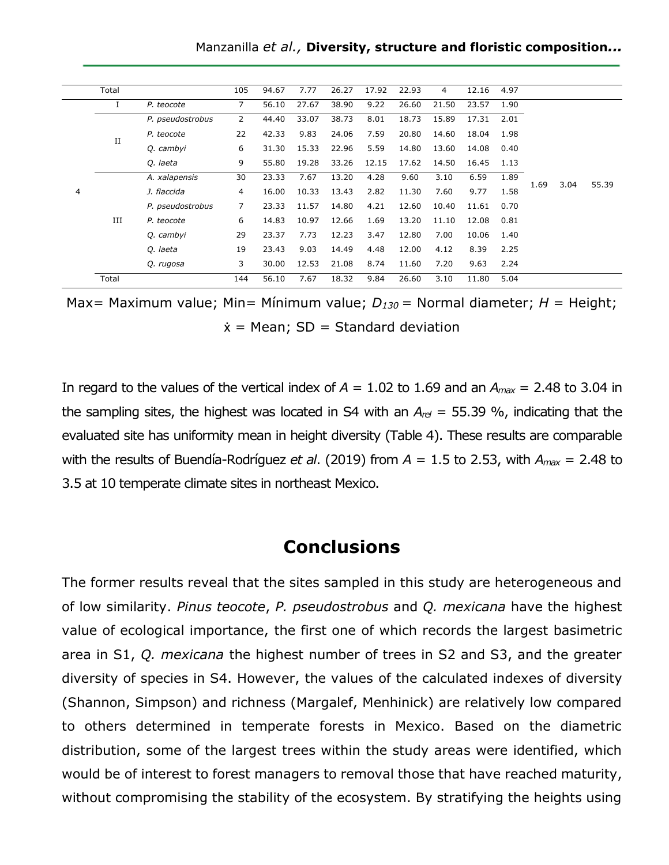| Manzanilla et al., Diversity, structure and floristic composition |  |  |  |  |
|-------------------------------------------------------------------|--|--|--|--|
|-------------------------------------------------------------------|--|--|--|--|

|   | Total |                  | 105            | 94.67 | 7.77  | 26.27 | 17.92 | 22.93 | 4     | 12.16 | 4.97 |      |      |       |
|---|-------|------------------|----------------|-------|-------|-------|-------|-------|-------|-------|------|------|------|-------|
|   | I     | P. teocote       | $\overline{7}$ | 56.10 | 27.67 | 38.90 | 9.22  | 26.60 | 21.50 | 23.57 | 1.90 |      |      |       |
|   |       | P. pseudostrobus | $\overline{2}$ | 44.40 | 33.07 | 38.73 | 8.01  | 18.73 | 15.89 | 17.31 | 2.01 |      |      |       |
|   | П     | P. teocote       | 22             | 42.33 | 9.83  | 24.06 | 7.59  | 20.80 | 14.60 | 18.04 | 1.98 |      |      |       |
|   |       | Q. cambyi        | 6              | 31.30 | 15.33 | 22.96 | 5.59  | 14.80 | 13.60 | 14.08 | 0.40 |      |      |       |
|   |       | Q. laeta         | 9              | 55.80 | 19.28 | 33.26 | 12.15 | 17.62 | 14.50 | 16.45 | 1.13 |      | 3.04 |       |
|   |       | A. xalapensis    | 30             | 23.33 | 7.67  | 13.20 | 4.28  | 9.60  | 3.10  | 6.59  | 1.89 | 1.69 |      | 55.39 |
| 4 |       | J. flaccida      | 4              | 16.00 | 10.33 | 13.43 | 2.82  | 11.30 | 7.60  | 9.77  | 1.58 |      |      |       |
|   |       | P. pseudostrobus | 7              | 23.33 | 11.57 | 14.80 | 4.21  | 12.60 | 10.40 | 11.61 | 0.70 |      |      |       |
|   | Ш     | P. teocote       | 6              | 14.83 | 10.97 | 12.66 | 1.69  | 13.20 | 11.10 | 12.08 | 0.81 |      |      |       |
|   |       | Q. cambyi        | 29             | 23.37 | 7.73  | 12.23 | 3.47  | 12.80 | 7.00  | 10.06 | 1.40 |      |      |       |
|   |       | Q. laeta         | 19             | 23.43 | 9.03  | 14.49 | 4.48  | 12.00 | 4.12  | 8.39  | 2.25 |      |      |       |
|   |       | Q. rugosa        | 3              | 30.00 | 12.53 | 21.08 | 8.74  | 11.60 | 7.20  | 9.63  | 2.24 |      |      |       |
|   | Total |                  | 144            | 56.10 | 7.67  | 18.32 | 9.84  | 26.60 | 3.10  | 11.80 | 5.04 |      |      |       |

Max= Maximum value; Min= Mínimum value; *D<sup>130</sup>* = Normal diameter; *H* = Height;  $\dot{x}$  = Mean; SD = Standard deviation

In regard to the values of the vertical index of  $A = 1.02$  to 1.69 and an  $A_{max} = 2.48$  to 3.04 in the sampling sites, the highest was located in S4 with an *Arel* = 55.39 %, indicating that the evaluated site has uniformity mean in height diversity (Table 4). These results are comparable with the results of Buendía-Rodríguez *et al*. (2019) from *A* = 1.5 to 2.53, with *Amax* = 2.48 to 3.5 at 10 temperate climate sites in northeast Mexico.

### **Conclusions**

The former results reveal that the sites sampled in this study are heterogeneous and of low similarity. *Pinus teocote*, *P. pseudostrobus* and *Q. mexicana* have the highest value of ecological importance, the first one of which records the largest basimetric area in S1, *Q. mexicana* the highest number of trees in S2 and S3, and the greater diversity of species in S4. However, the values of the calculated indexes of diversity (Shannon, Simpson) and richness (Margalef, Menhinick) are relatively low compared to others determined in temperate forests in Mexico. Based on the diametric distribution, some of the largest trees within the study areas were identified, which would be of interest to forest managers to removal those that have reached maturity, without compromising the stability of the ecosystem. By stratifying the heights using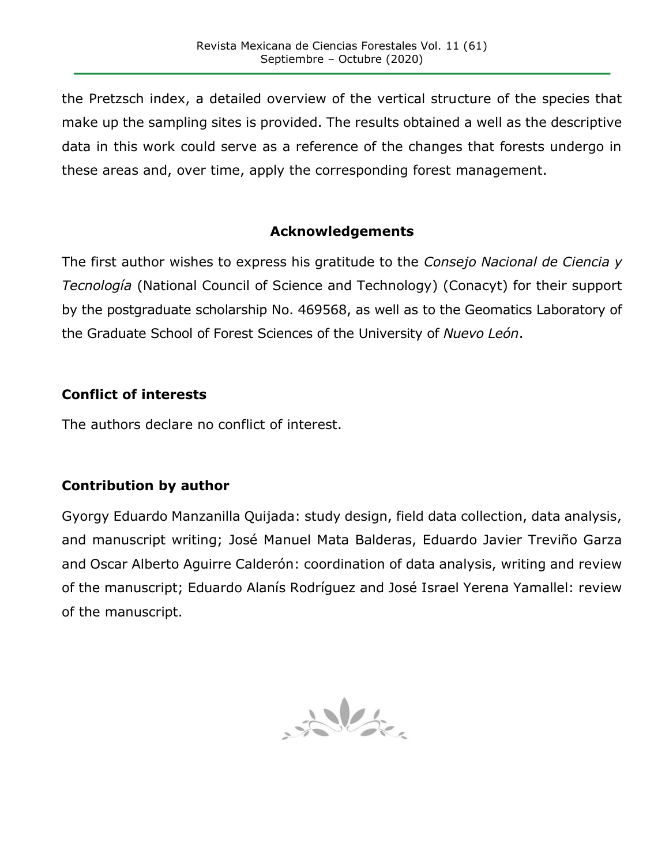the Pretzsch index, a detailed overview of the vertical structure of the species that make up the sampling sites is provided. The results obtained a well as the descriptive data in this work could serve as a reference of the changes that forests undergo in these areas and, over time, apply the corresponding forest management.

#### **Acknowledgements**

The first author wishes to express his gratitude to the *Consejo Nacional de Ciencia y Tecnología* (National Council of Science and Technology) (Conacyt) for their support by the postgraduate scholarship No. 469568, as well as to the Geomatics Laboratory of the Graduate School of Forest Sciences of the University of *Nuevo León*.

#### **Conflict of interests**

The authors declare no conflict of interest.

### **Contribution by author**

Gyorgy Eduardo Manzanilla Quijada: study design, field data collection, data analysis, and manuscript writing; José Manuel Mata Balderas, Eduardo Javier Treviño Garza and Oscar Alberto Aguirre Calderón: coordination of data analysis, writing and review of the manuscript; Eduardo Alanís Rodríguez and José Israel Yerena Yamallel: review of the manuscript.

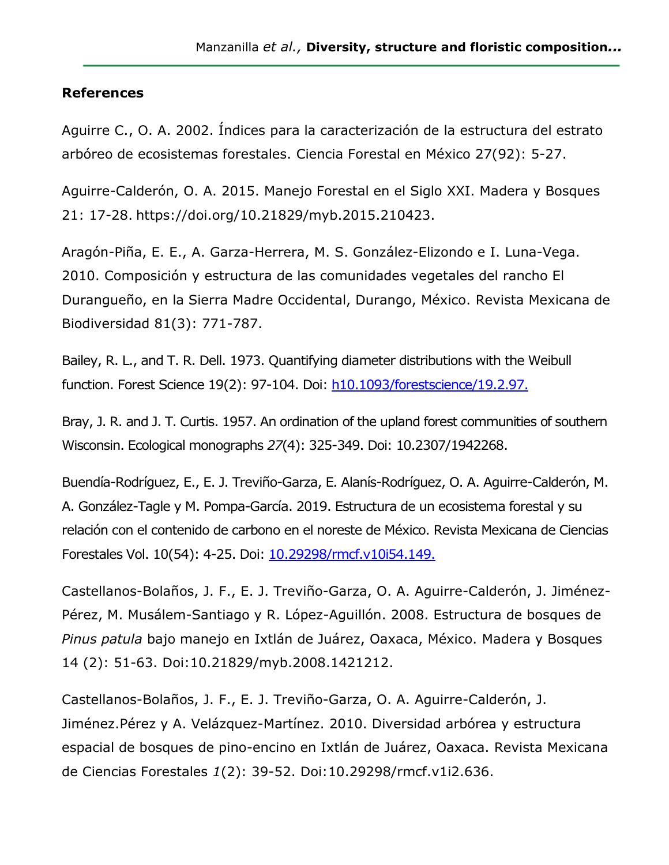#### **References**

Aguirre C., O. A. 2002. Índices para la caracterización de la estructura del estrato arbóreo de ecosistemas forestales. Ciencia Forestal en México 27(92): 5-27.

Aguirre-Calderón, O. A. 2015. Manejo Forestal en el Siglo XXI. Madera y Bosques 21: 17-28. https://doi.org/10.21829/myb.2015.210423.

Aragón-Piña, E. E., A. Garza-Herrera, M. S. González-Elizondo e I. Luna-Vega. 2010. Composición y estructura de las comunidades vegetales del rancho El Durangueño, en la Sierra Madre Occidental, Durango, México. Revista Mexicana de Biodiversidad 81(3): 771-787.

Bailey, R. L., and T. R. Dell. 1973. Quantifying diameter distributions with the Weibull function. Forest Science 19(2): 97-104. Doi: [h10.1093/forestscience/19.2.97.](https://doi.org/10.1093/forestscience/19.2.97)

Bray, J. R. and J. T. Curtis. 1957. An ordination of the upland forest communities of southern Wisconsin. Ecological monographs *27*(4): 325-349. Doi: 10.2307/1942268.

Buendía-Rodríguez, E., E. J. Treviño-Garza, E. Alanís-Rodríguez, O. A. Aguirre-Calderón, M. A. González-Tagle y M. Pompa-García. 2019. Estructura de un ecosistema forestal y su relación con el contenido de carbono en el noreste de México. Revista Mexicana de Ciencias Forestales Vol. 10(54): 4-25. Doi: [10.29298/rmcf.v10i54.149.](https://doi.org/10.29298/rmcf.v10i54.149)

Castellanos-Bolaños, J. F., E. J. Treviño-Garza, O. A. Aguirre-Calderón, J. Jiménez-Pérez, M. Musálem-Santiago y R. López-Aguillón. 2008. Estructura de bosques de *Pinus patula* bajo manejo en Ixtlán de Juárez, Oaxaca, México. Madera y Bosques 14 (2): 51-63. Doi:10.21829/myb.2008.1421212.

Castellanos-Bolaños, J. F., E. J. Treviño-Garza, O. A. Aguirre-Calderón, J. Jiménez.Pérez y A. Velázquez-Martínez. 2010. Diversidad arbórea y estructura espacial de bosques de pino-encino en Ixtlán de Juárez, Oaxaca. Revista Mexicana de Ciencias Forestales *1*(2): 39-52. Doi:10.29298/rmcf.v1i2.636.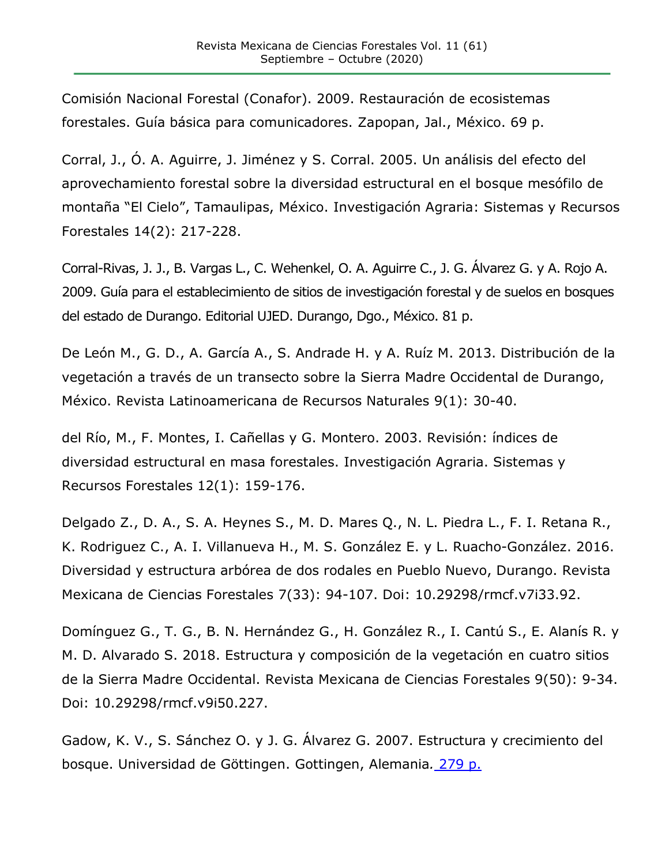Comisión Nacional Forestal (Conafor). 2009. Restauración de ecosistemas forestales. Guía básica para comunicadores. Zapopan, Jal., México. 69 p.

Corral, J., Ó. A. Aguirre, J. Jiménez y S. Corral. 2005. Un análisis del efecto del aprovechamiento forestal sobre la diversidad estructural en el bosque mesófilo de montaña "El Cielo", Tamaulipas, México. Investigación Agraria: Sistemas y Recursos Forestales 14(2): 217-228.

Corral-Rivas, J. J., B. Vargas L., C. Wehenkel, O. A. Aguirre C., J. G. Álvarez G. y A. Rojo A. 2009. Guía para el establecimiento de sitios de investigación forestal y de suelos en bosques del estado de Durango. Editorial UJED. Durango, Dgo., México. 81 p.

De León M., G. D., A. García A., S. Andrade H. y A. Ruíz M. 2013. Distribución de la vegetación a través de un transecto sobre la Sierra Madre Occidental de Durango, México. Revista Latinoamericana de Recursos Naturales 9(1): 30-40.

del Río, M., F. Montes, I. Cañellas y G. Montero. 2003. Revisión: índices de diversidad estructural en masa forestales. Investigación Agraria. Sistemas y Recursos Forestales 12(1): 159-176.

Delgado Z., D. A., S. A. Heynes S., M. D. Mares Q., N. L. Piedra L., F. I. Retana R., K. Rodriguez C., A. I. Villanueva H., M. S. González E. y L. Ruacho-González. 2016. Diversidad y estructura arbórea de dos rodales en Pueblo Nuevo, Durango. Revista Mexicana de Ciencias Forestales 7(33): 94-107. Doi: 10.29298/rmcf.v7i33.92.

Domínguez G., T. G., B. N. Hernández G., H. González R., I. Cantú S., E. Alanís R. y M. D. Alvarado S. 2018. Estructura y composición de la vegetación en cuatro sitios de la Sierra Madre Occidental. Revista Mexicana de Ciencias Forestales 9(50): 9-34. Doi: 10.29298/rmcf.v9i50.227.

Gadow, K. V., S. Sánchez O. y J. G. Álvarez G. 2007. Estructura y crecimiento del bosque. Universidad de Göttingen. Gottingen, Alemania*.* 279 p.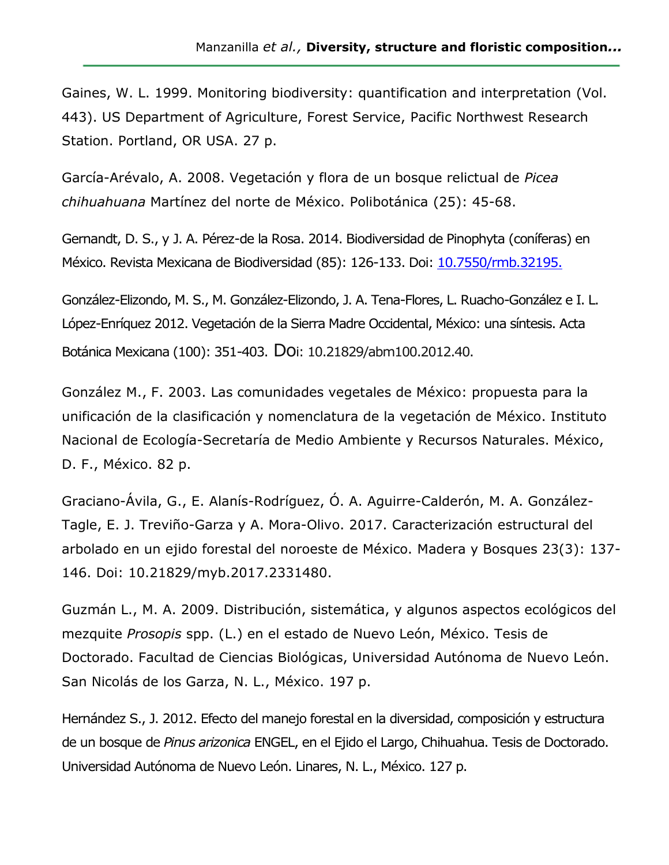Gaines, W. L. 1999. Monitoring biodiversity: quantification and interpretation (Vol. 443). US Department of Agriculture, Forest Service, Pacific Northwest Research Station. Portland, OR USA. 27 p.

García-Arévalo, A. 2008. Vegetación y flora de un bosque relictual de *Picea chihuahuana* Martínez del norte de México. Polibotánica (25): 45-68.

Gernandt, D. S., y J. A. Pérez-de la Rosa. 2014. Biodiversidad de Pinophyta (coníferas) en México. Revista Mexicana de Biodiversidad (85): 126-133. Doi: [10.7550/rmb.32195.](https://doi.org/10.7550/rmb.32195)

González-Elizondo, M. S., M. González-Elizondo, J. A. Tena-Flores, L. Ruacho-González e I. L. López-Enríquez 2012. Vegetación de la Sierra Madre Occidental, México: una síntesis. Acta Botánica Mexicana (100): 351-403. Doi: 10.21829/abm100.2012.40.

González M., F. 2003. Las comunidades vegetales de México: propuesta para la unificación de la clasificación y nomenclatura de la vegetación de México. Instituto Nacional de Ecología-Secretaría de Medio Ambiente y Recursos Naturales. México, D. F., México. 82 p.

Graciano-Ávila, G., E. Alanís-Rodríguez, Ó. A. Aguirre-Calderón, M. A. González-Tagle, E. J. Treviño-Garza y A. Mora-Olivo. 2017. Caracterización estructural del arbolado en un ejido forestal del noroeste de México. Madera y Bosques 23(3): 137- 146. Doi: 10.21829/myb.2017.2331480.

Guzmán L., M. A. 2009. Distribución, sistemática, y algunos aspectos ecológicos del mezquite *Prosopis* spp. (L.) en el estado de Nuevo León, México. Tesis de Doctorado. Facultad de Ciencias Biológicas, Universidad Autónoma de Nuevo León. San Nicolás de los Garza, N. L., México. 197 p.

Hernández S., J. 2012. Efecto del manejo forestal en la diversidad, composición y estructura de un bosque de *Pinus arizonica* ENGEL, en el Ejido el Largo, Chihuahua. Tesis de Doctorado. Universidad Autónoma de Nuevo León. Linares, N. L., México. 127 p.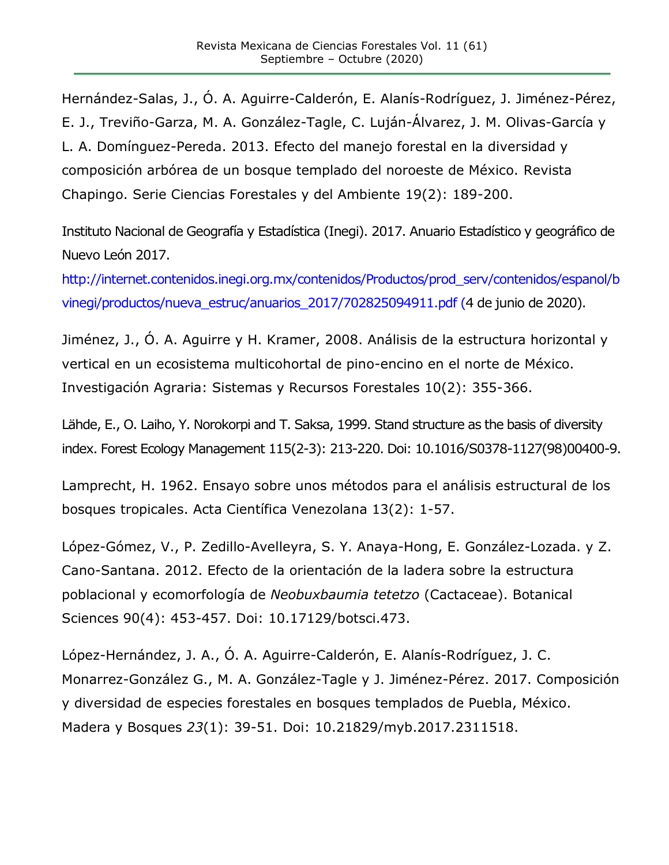Hernández-Salas, J., Ó. A. Aguirre-Calderón, E. Alanís-Rodríguez, J. Jiménez-Pérez, E. J., Treviño-Garza, M. A. González-Tagle, C. Luján-Álvarez, J. M. Olivas-García y L. A. Domínguez-Pereda. 2013. Efecto del manejo forestal en la diversidad y composición arbórea de un bosque templado del noroeste de México. Revista Chapingo. Serie Ciencias Forestales y del Ambiente 19(2): 189-200.

Instituto Nacional de Geografía y Estadística (Inegi). 2017. Anuario Estadístico y geográfico de Nuevo León 2017.

[http://internet.contenidos.inegi.org.mx/contenidos/Productos/prod\\_serv/contenidos/espanol/b](http://internet.contenidos.inegi.org.mx/contenidos/Productos/prod_serv/contenidos/espanol/bvinegi/productos/nueva_estruc/anuarios_2017/702825094911.pdf) [vinegi/productos/nueva\\_estruc/anuarios\\_2017/702825094911.pdf](http://internet.contenidos.inegi.org.mx/contenidos/Productos/prod_serv/contenidos/espanol/bvinegi/productos/nueva_estruc/anuarios_2017/702825094911.pdf) (4 de junio de 2020).

Jiménez, J., Ó. A. Aguirre y H. Kramer, 2008. Análisis de la estructura horizontal y vertical en un ecosistema multicohortal de pino-encino en el norte de México. Investigación Agraria: Sistemas y Recursos Forestales 10(2): 355-366.

Lähde, E., O. Laiho, Y. Norokorpi and T. Saksa, 1999. Stand structure as the basis of diversity index. Forest Ecology Management 115(2-3): 213-220. Doi: 10.1016/S0378-1127(98)00400-9.

Lamprecht, H. 1962. Ensayo sobre unos métodos para el análisis estructural de los bosques tropicales. Acta Científica Venezolana 13(2): 1-57.

López-Gómez, V., P. Zedillo-Avelleyra, S. Y. Anaya-Hong, E. González-Lozada. y Z. Cano-Santana. 2012. Efecto de la orientación de la ladera sobre la estructura poblacional y ecomorfología de *Neobuxbaumia tetetzo* (Cactaceae). Botanical Sciences 90(4): 453-457. Doi: 10.17129/botsci.473.

López-Hernández, J. A., Ó. A. Aguirre-Calderón, E. Alanís-Rodríguez, J. C. Monarrez-González G., M. A. González-Tagle y J. Jiménez-Pérez. 2017. Composición y diversidad de especies forestales en bosques templados de Puebla, México. Madera y Bosques *23*(1): 39-51. Doi: 10.21829/myb.2017.2311518.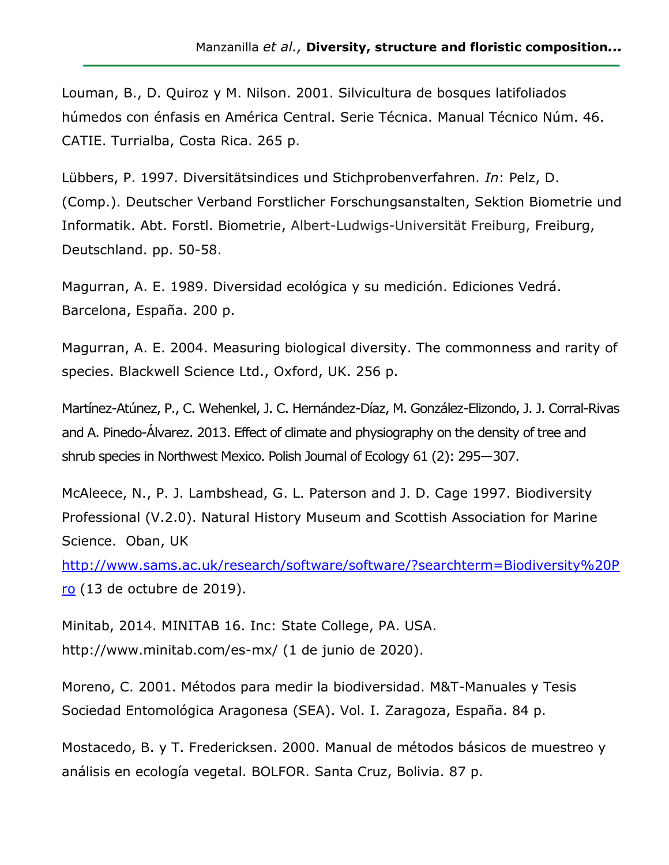Louman, B., D. Quiroz y M. Nilson. 2001. Silvicultura de bosques latifoliados húmedos con énfasis en América Central. Serie Técnica. Manual Técnico Núm. 46. CATIE. Turrialba, Costa Rica. 265 p.

Lübbers, P. 1997. Diversitätsindices und Stichprobenverfahren. *In*: Pelz, D. (Comp.). Deutscher Verband Forstlicher Forschungsanstalten, Sektion Biometrie und Informatik. Abt. Forstl. Biometrie, Albert-Ludwigs-Universität Freiburg, Freiburg, Deutschland. pp. 50-58.

Magurran, A. E. 1989. Diversidad ecológica y su medición. Ediciones Vedrá. Barcelona, España. 200 p.

Magurran, A. E. 2004. Measuring biological diversity. The commonness and rarity of species. Blackwell Science Ltd., Oxford, UK. 256 p.

Martínez-Atúnez, P., C. Wehenkel, J. C. Hernández-Díaz, M. González-Elizondo, J. J. Corral-Rivas and A. Pinedo-Álvarez. 2013. Effect of climate and physiography on the density of tree and shrub species in Northwest Mexico. Polish Journal of Ecology 61 (2): 295—307.

McAleece, N., P. J. Lambshead, G. L. Paterson and J. D. Cage 1997. Biodiversity Professional (V.2.0). Natural History Museum and Scottish Association for Marine Science. Oban, UK

[http://www.sams.ac.uk/research/software/software/?searchterm=Biodiversity%20P](http://www.sams.ac.uk/research/software/software/?searchterm=Biodiversity%20Pro) [ro](http://www.sams.ac.uk/research/software/software/?searchterm=Biodiversity%20Pro) (13 de octubre de 2019).

Minitab, 2014. MINITAB 16. Inc: State College, PA. USA. http://www.minitab.com/es-mx/ (1 de junio de 2020).

Moreno, C. 2001. Métodos para medir la biodiversidad. M&T-Manuales y Tesis Sociedad Entomológica Aragonesa (SEA). Vol. I. Zaragoza, España. 84 p.

Mostacedo, B. y T. Fredericksen. 2000. Manual de métodos básicos de muestreo y análisis en ecología vegetal. BOLFOR. Santa Cruz, Bolivia. 87 p.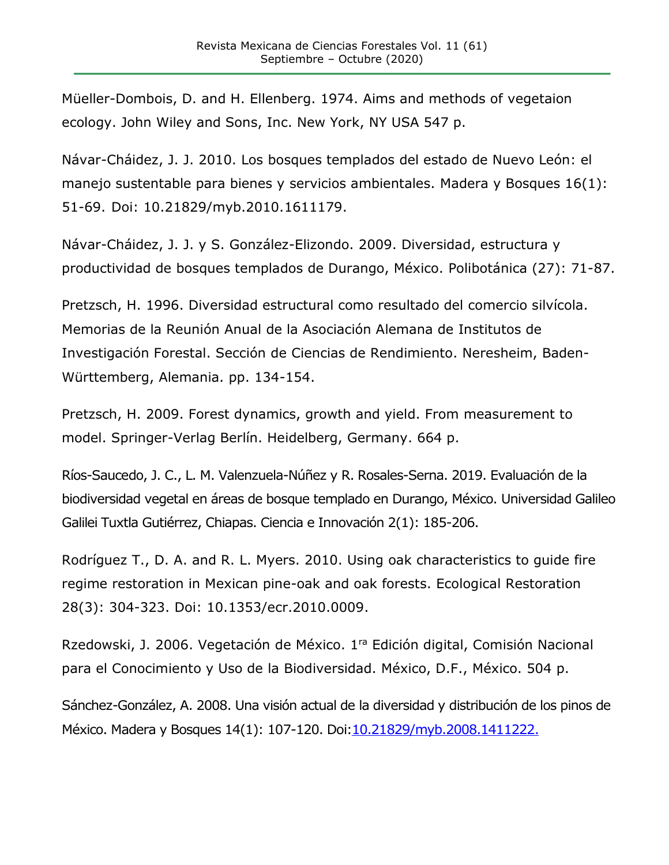Müeller-Dombois, D. and H. Ellenberg. 1974. Aims and methods of vegetaion ecology. John Wiley and Sons, Inc. New York, NY USA 547 p.

Návar-Cháidez, J. J. 2010. Los bosques templados del estado de Nuevo León: el manejo sustentable para bienes y servicios ambientales. Madera y Bosques 16(1): 51-69. Doi: 10.21829/myb.2010.1611179.

Návar-Cháidez, J. J. y S. González-Elizondo. 2009. Diversidad, estructura y productividad de bosques templados de Durango, México. Polibotánica (27): 71-87.

Pretzsch, H. 1996. Diversidad estructural como resultado del comercio silvícola. Memorias de la Reunión Anual de la Asociación Alemana de Institutos de Investigación Forestal. Sección de Ciencias de Rendimiento. Neresheim, Baden-Württemberg, Alemania. pp. 134-154.

Pretzsch, H. 2009. Forest dynamics, growth and yield. From measurement to model. Springer-Verlag Berlín. Heidelberg, Germany. 664 p.

Ríos-Saucedo, J. C., L. M. Valenzuela-Núñez y R. Rosales-Serna. 2019. Evaluación de la biodiversidad vegetal en áreas de bosque templado en Durango, México. Universidad Galileo Galilei Tuxtla Gutiérrez, Chiapas. Ciencia e Innovación 2(1): 185-206.

Rodríguez T., D. A. and R. L. Myers. 2010. Using oak characteristics to guide fire regime restoration in Mexican pine-oak and oak forests. Ecological Restoration 28(3): 304-323. Doi: 10.1353/ecr.2010.0009.

Rzedowski, J. 2006. Vegetación de México. 1ra Edición digital, Comisión Nacional para el Conocimiento y Uso de la Biodiversidad. México, D.F., México. 504 p.

Sánchez-González, A. 2008. Una visión actual de la diversidad y distribución de los pinos de México. Madera y Bosques 14(1): 107-120. Doi[:10.21829/myb.2008.1411222.](https://doi.org/10.21829/myb.2008.1411222)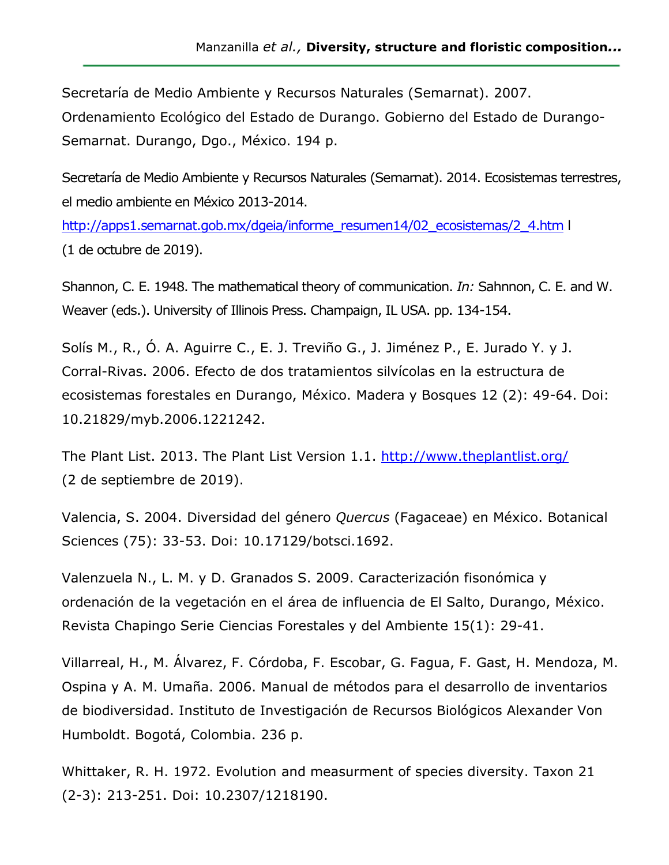Secretaría de Medio Ambiente y Recursos Naturales (Semarnat). 2007. Ordenamiento Ecológico del Estado de Durango. Gobierno del Estado de Durango-Semarnat. Durango, Dgo., México. 194 p.

Secretaría de Medio Ambiente y Recursos Naturales (Semarnat). 2014. Ecosistemas terrestres, el medio ambiente en México 2013-2014.

[http://apps1.semarnat.gob.mx/dgeia/informe\\_resumen14/02\\_ecosistemas/2\\_4.htm](http://apps1.semarnat.gob.mx/dgeia/informe_resumen14/02_ecosistemas/2_4.htm) l (1 de octubre de 2019).

Shannon, C. E. 1948. The mathematical theory of communication. *In:* Sahnnon, C. E. and W. Weaver (eds.). University of Illinois Press. Champaign, IL USA. pp. 134-154.

Solís M., R., Ó. A. Aguirre C., E. J. Treviño G., J. Jiménez P., E. Jurado Y. y J. Corral-Rivas. 2006. Efecto de dos tratamientos silvícolas en la estructura de ecosistemas forestales en Durango, México. Madera y Bosques 12 (2): 49-64. Doi: 10.21829/myb.2006.1221242.

The Plant List. 2013. The Plant List Version 1.1.<http://www.theplantlist.org/> (2 de septiembre de 2019).

Valencia, S. 2004. Diversidad del género *Quercus* (Fagaceae) en México. Botanical Sciences (75): 33-53. Doi: 10.17129/botsci.1692.

Valenzuela N., L. M. y D. Granados S. 2009. Caracterización fisonómica y ordenación de la vegetación en el área de influencia de El Salto, Durango, México. Revista Chapingo Serie Ciencias Forestales y del Ambiente 15(1): 29-41.

Villarreal, H., M. Álvarez, F. Córdoba, F. Escobar, G. Fagua, F. Gast, H. Mendoza, M. Ospina y A. M. Umaña. 2006. Manual de métodos para el desarrollo de inventarios de biodiversidad. Instituto de Investigación de Recursos Biológicos Alexander Von Humboldt. Bogotá, Colombia. 236 p.

Whittaker, R. H. 1972. Evolution and measurment of species diversity. Taxon 21 (2-3): 213-251. Doi: 10.2307/1218190.